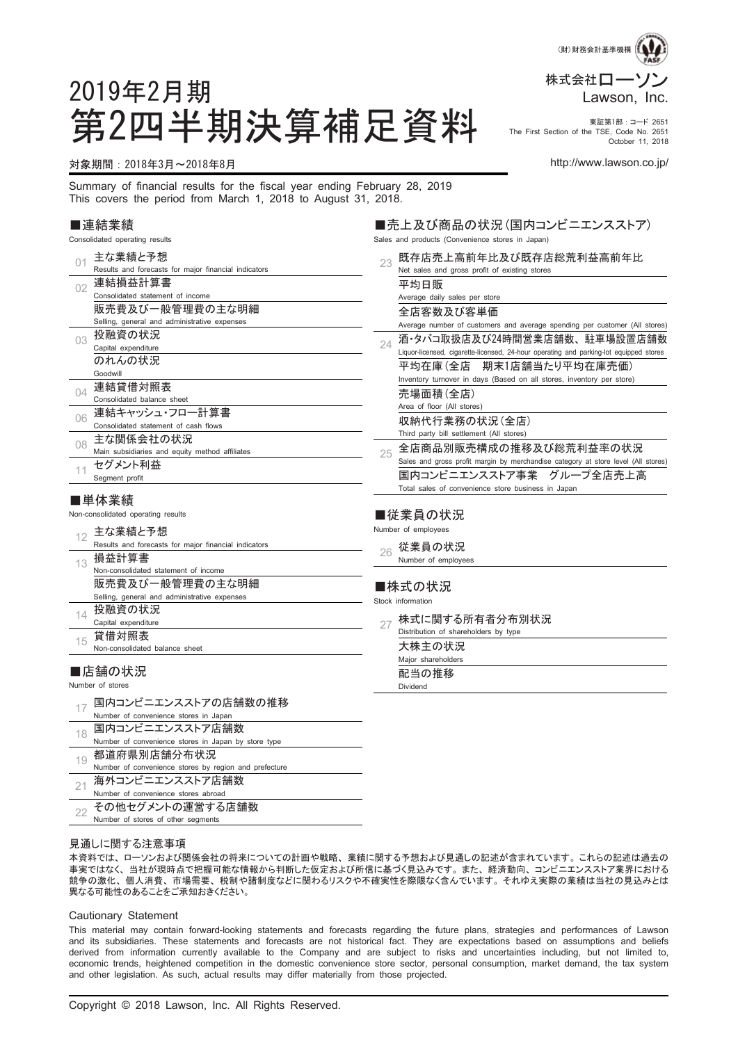

October 11, 2018

# 第2四半期決算補足資料 Fire First Section of the TSE, Cate no. 2651 The First Section of the TSE, Code No. 2651

Sales and products (Convenience stores in Japan)

#### 対象期間:2018年3月~2018年8月 http://www.lawson.co.jp/

2019年2月期

Summary of financial results for the fiscal year ending February 28, 2019 This covers the period from March 1, 2018 to August 31, 2018.

#### ■連結業績

Consolidated operating results

| 01       | 主な業績と予想                                               | 既存店売上高前年比及び既存店総荒利益高前年比<br>23                                                                 |
|----------|-------------------------------------------------------|----------------------------------------------------------------------------------------------|
|          | Results and forecasts for major financial indicators  | Net sales and gross profit of existing stores                                                |
| 02       | 連結損益計算書                                               | 平均日販                                                                                         |
|          | Consolidated statement of income                      | Average daily sales per store                                                                |
|          | 販売費及び一般管理費の主な明細                                       | 全店客数及び客単価                                                                                    |
|          | Selling, general and administrative expenses          | Average number of customers and average spending per customer (All stores)                   |
| 03       | 投融資の状況                                                | 酒・タバコ取扱店及び24時間営業店舗数、駐車場設置店舗数                                                                 |
|          | Capital expenditure                                   | 24<br>Liquor-licensed, cigarette-licensed, 24-hour operating and parking-lot equipped stores |
|          | のれんの状況                                                | - 期末1店舗当たり平均在庫売価)<br>平均在庫 (全店)                                                               |
|          | Goodwill                                              | Inventory turnover in days (Based on all stores, inventory per store)                        |
| $\Omega$ | 連結貸借対照表                                               | 売場面積(全店)                                                                                     |
|          | Consolidated balance sheet                            | Area of floor (All stores)                                                                   |
| 06       | 連結キャッシュ・フロー計算書                                        | 収納代行業務の状況(全店)                                                                                |
|          | Consolidated statement of cash flows                  | Third party bill settlement (All stores)                                                     |
| 08       | 主な関係会社の状況                                             | 全店商品別販売構成の推移及び総荒利益率の状況                                                                       |
|          | Main subsidiaries and equity method affiliates        | 25<br>Sales and gross profit margin by merchandise category at store level (All stores)      |
| 11       | セグメント利益                                               | 国内コンビニエンスストア事業 グループ全店売上高                                                                     |
|          | Segment profit                                        | Total sales of convenience store business in Japan                                           |
|          | ■単体業績                                                 |                                                                                              |
|          | Non-consolidated operating results                    | ■従業員の状況                                                                                      |
|          |                                                       | Number of employees                                                                          |
| 12       | 主な業績と予想                                               |                                                                                              |
|          | Results and forecasts for major financial indicators  | 従業員の状況<br>26                                                                                 |
| 13       | 損益計算書<br>Non-consolidated statement of income         | Number of employees                                                                          |
|          | 販売費及び一般管理費の主な明細                                       |                                                                                              |
|          | Selling, general and administrative expenses          | ■株式の状況                                                                                       |
|          | 投融資の状況                                                | Stock information                                                                            |
| 14       | Capital expenditure                                   | 株式に関する所有者分布別状況<br>27                                                                         |
|          | 貸借対照表                                                 | Distribution of shareholders by type                                                         |
| 15       | Non-consolidated balance sheet                        | 大株主の状況                                                                                       |
|          |                                                       | Major shareholders                                                                           |
|          | ■店舗の状況                                                | 配当の推移                                                                                        |
|          | Number of stores                                      | Dividend                                                                                     |
|          | 国内コンビニエンスストアの店舗数の推移                                   |                                                                                              |
| 17       | Number of convenience stores in Japan                 |                                                                                              |
|          | 国内コンビニエンスストア店舗数                                       |                                                                                              |
| 18       | Number of convenience stores in Japan by store type   |                                                                                              |
|          | 都道府県別店舗分布状況                                           |                                                                                              |
| 19       | Number of convenience stores by region and prefecture |                                                                                              |
| 21       | 海外コンビニエンスストア店舗数                                       |                                                                                              |
|          | Number of convenience stores abroad                   |                                                                                              |

その他セグメントの運営する店舗数

22 Number of stores of other segments

見通しに関する注意事項

本資料では、ローソンおよび関係会社の将来についての計画や戦略、業績に関する予想および見通しの記述が含まれています。これらの記述は過去の 事実ではなく、当社が現時点で把握可能な情報から判断した仮定および所信に基づく見込みです。また、経済動向、コンビニエンスストア業界における 競争の激化、個人消費、市場需要、税制や諸制度などに関わるリスクや不確実性を際限なく含んでいます。それゆえ実際の業績は当社の見込みとは 異なる可能性のあることをご承知おきください。

#### Cautionary Statement

This material may contain forward-looking statements and forecasts regarding the future plans, strategies and performances of Lawson and its subsidiaries. These statements and forecasts are not historical fact. They are expectations based on assumptions and beliefs derived from information currently available to the Company and are subject to risks and uncertainties including, but not limited to, economic trends, heightened competition in the domestic convenience store sector, personal consumption, market demand, the tax system and other legislation. As such, actual results may differ materially from those projected.

■売上及び商品の状況(国内コンビニエンスストア)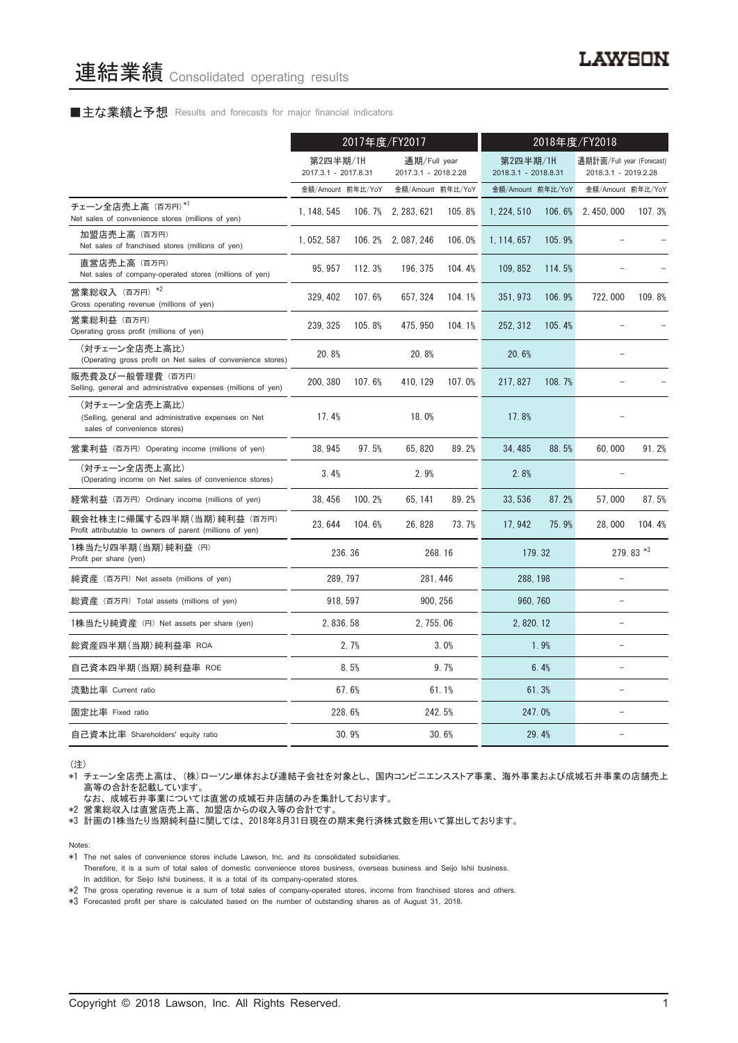#### ■主な業績と予想 Results and forecasts for major financial indicators

|                                                                                                       | 2017年度/FY2017                    |        |                                      | 2018年度/FY2018 |                                  |        |                                                   |           |
|-------------------------------------------------------------------------------------------------------|----------------------------------|--------|--------------------------------------|---------------|----------------------------------|--------|---------------------------------------------------|-----------|
|                                                                                                       | 第2四半期/1H<br>2017.3.1 - 2017.8.31 |        | 通期/Full year<br>2017.3.1 - 2018.2.28 |               | 第2四半期/1H<br>2018.3.1 - 2018.8.31 |        | 通期計画/Full year (Forecast)<br>2018.3.1 - 2019.2.28 |           |
|                                                                                                       | 金額/Amount 前年比/YoY                |        | 金額/Amount 前年比/YoY                    |               | 金額/Amount 前年比/YoY                |        | 金額/Amount 前年比/YoY                                 |           |
| チェーン全店売上高 (百万円)*1<br>Net sales of convenience stores (millions of yen)                                | 1.148.545                        | 106.7% | 2, 283, 621                          | 105.8%        | 1, 224, 510                      | 106.6% | 2.450.000                                         | 107.3%    |
| 加盟店売上高 (百万円)<br>Net sales of franchised stores (millions of yen)                                      | 1, 052, 587                      |        | 106.2% 2,087,246                     | 106.0%        | 1, 114, 657                      | 105.9% |                                                   |           |
| 直営店売上高(百万円)<br>Net sales of company-operated stores (millions of yen)                                 | 95, 957                          | 112.3% | 196, 375                             | 104.4%        | 109, 852                         | 114.5% |                                                   |           |
| 営業総収入 (百万円) *2<br>Gross operating revenue (millions of yen)                                           | 329, 402                         | 107.6% | 657, 324                             | 104.1%        | 351, 973                         | 106.9% | 722,000                                           | 109.8%    |
| 営業総利益 (百万円)<br>Operating gross profit (millions of yen)                                               | 239, 325                         | 105.8% | 475.950                              | 104.1%        | 252, 312                         | 105.4% |                                                   |           |
| (対チェーン全店売上高比)<br>(Operating gross profit on Net sales of convenience stores)                          | 20.8%                            |        | 20.8%                                |               | 20.6%                            |        |                                                   |           |
| 販売費及び一般管理費(百万円)<br>Selling, general and administrative expenses (millions of yen)                     | 200, 380                         | 107.6% | 410, 129                             | 107.0%        | 217, 827                         | 108.7% |                                                   |           |
| (対チェーン全店売上高比)<br>(Selling, general and administrative expenses on Net<br>sales of convenience stores) | 17.4%                            |        | 18.0%                                |               | 17.8%                            |        |                                                   |           |
| 営業利益 (百万円) Operating income (millions of yen)                                                         | 38.945                           | 97.5%  | 65.820                               | 89.2%         | 34.485                           | 88.5%  | 60.000                                            | 91.2%     |
| (対チェーン全店売上高比)<br>(Operating income on Net sales of convenience stores)                                | 3.4%                             |        | 2.9%                                 |               | 2.8%                             |        |                                                   |           |
| 経常利益 (百万円) Ordinary income (millions of yen)                                                          | 38, 456                          | 100.2% | 65, 141                              | 89.2%         | 33, 536                          | 87.2%  | 57,000                                            | 87.5%     |
| 親会社株主に帰属する四半期 (当期) 純利益 (百万円)<br>Profit attributable to owners of parent (millions of yen)             | 23.644                           | 104.6% | 26, 828                              | 73.7%         | 17.942                           | 75.9%  | 28,000                                            | 104.4%    |
| 1株当たり四半期 (当期) 純利益 (円)<br>Profit per share (yen)                                                       |                                  | 236.36 |                                      | 268.16        | 179.32                           |        |                                                   | 279.83 *3 |
| 純資産 (百万円) Net assets (millions of yen)                                                                | 289, 797                         |        | 281.446                              |               | 288, 198                         |        | L.                                                |           |
| 総資産 (百万円) Total assets (millions of yen)                                                              | 918, 597                         |        | 900, 256                             |               | 960, 760                         |        | L.                                                |           |
| 1株当たり純資産 (円) Net assets per share (yen)                                                               | 2, 836. 58                       |        | 2, 755.06                            |               | 2, 820. 12                       |        | $\equiv$                                          |           |
| 総資産四半期(当期) 純利益率 ROA                                                                                   |                                  | 2.7%   |                                      | 3.0%          |                                  | 1.9%   |                                                   |           |
| 自己資本四半期(当期)純利益率 ROE                                                                                   |                                  | 8.5%   |                                      | 9.7%          |                                  | 6.4%   |                                                   |           |
| 流動比率 Current ratio                                                                                    |                                  | 67.6%  |                                      | 61.1%         |                                  | 61.3%  |                                                   |           |
| 固定比率 Fixed ratio                                                                                      |                                  | 228.6% |                                      | 242.5%        | 247.0%                           |        |                                                   |           |
| 自己資本比率 Shareholders' equity ratio                                                                     |                                  | 30.9%  |                                      | 30.6%         |                                  | 29.4%  |                                                   |           |

(注)

\*1 チェーン全店売上高は、(株)ローソン単体および連結子会社を対象とし、国内コンビニエンスストア事業、海外事業および成城石井事業の店舗売上 高等の合計を記載しています。

なお、成城石井事業については直営の成城石井店舗のみを集計しております。

\*2 営業総収入は直営店売上高、加盟店からの収入等の合計です。

\*3 計画の1株当たり当期純利益に関しては、2018年8月31日現在の期末発行済株式数を用いて算出しております。

Notes:

- \*1 The net sales of convenience stores include Lawson, Inc. and its consolidated subsidiaries.
- Therefore, it is a sum of total sales of domestic convenience stores business, overseas business and Seijo Ishii business. In addition, for Seijo Ishii business, it is a total of its company-operated stores.

\*2 The gross operating revenue is a sum of total sales of company-operated stores, income from franchised stores and others.

\*3 Forecasted profit per share is calculated based on the number of outstanding shares as of August 31, 2018.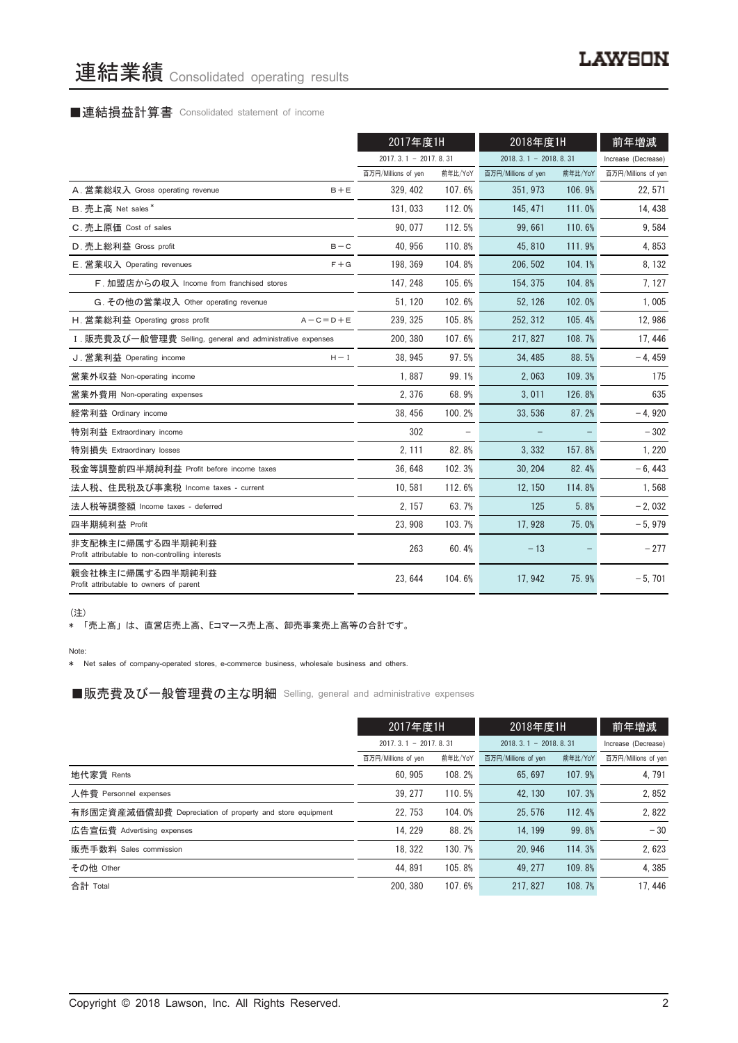# 連結業績 Consolidated operating results

# ■連結損益計算書 Consolidated statement of income

|                                                                      | 2017年度1H               |         | 2018年度1H               |         | 前年増減                |
|----------------------------------------------------------------------|------------------------|---------|------------------------|---------|---------------------|
|                                                                      | $2017.3.1 - 2017.8.31$ |         | $2018.3.1 - 2018.8.31$ |         | Increase (Decrease) |
|                                                                      | 百万円/Millions of yen    | 前年比/YoY | 百万円/Millions of yen    | 前年比/YoY | 百万円/Millions of yen |
| A. 営業総収入 Gross operating revenue<br>$B + E$                          | 329.402                | 107.6%  | 351.973                | 106.9%  | 22, 571             |
| B. 売上高 Net sales*                                                    | 131,033                | 112.0%  | 145, 471               | 111.0%  | 14, 438             |
| C. 売上原価 Cost of sales                                                | 90.077                 | 112.5%  | 99.661                 | 110.6%  | 9,584               |
| D. 売上総利益 Gross profit<br>$B - C$                                     | 40, 956                | 110.8%  | 45,810                 | 111.9%  | 4,853               |
| E. 営業収入 Operating revenues<br>$F + G$                                | 198.369                | 104.8%  | 206, 502               | 104.1%  | 8, 132              |
| F. 加盟店からの収入 Income from franchised stores                            | 147, 248               | 105.6%  | 154, 375               | 104.8%  | 7, 127              |
| G. その他の営業収入 Other operating revenue                                  | 51, 120                | 102.6%  | 52, 126                | 102.0%  | 1,005               |
| H. 営業総利益 Operating gross profit<br>$A - C = D + E$                   | 239, 325               | 105.8%  | 252, 312               | 105.4%  | 12,986              |
| I. 販売費及び一般管理費 Selling, general and administrative expenses           | 200, 380               | 107.6%  | 217, 827               | 108.7%  | 17, 446             |
| J. 営業利益 Operating income<br>$H - I$                                  | 38.945                 | 97.5%   | 34.485                 | 88.5%   | $-4,459$            |
| 営業外収益 Non-operating income                                           | 1.887                  | 99.1%   | 2.063                  | 109.3%  | 175                 |
| 営業外費用 Non-operating expenses                                         | 2.376                  | 68.9%   | 3.011                  | 126.8%  | 635                 |
| 経常利益 Ordinary income                                                 | 38, 456                | 100.2%  | 33,536                 | 87.2%   | $-4,920$            |
| 特別利益 Extraordinary income                                            | 302                    |         |                        |         | $-302$              |
| 特別損失 Extraordinary losses                                            | 2, 111                 | 82.8%   | 3,332                  | 157.8%  | 1, 220              |
| 税金等調整前四半期純利益 Profit before income taxes                              | 36.648                 | 102.3%  | 30.204                 | 82.4%   | $-6,443$            |
| 法人税、住民税及び事業税 Income taxes - current                                  | 10.581                 | 112.6%  | 12.150                 | 114.8%  | 1,568               |
| 法人税等調整額 Income taxes - deferred                                      | 2, 157                 | 63.7%   | 125                    | 5.8%    | $-2,032$            |
| 四半期純利益 Profit                                                        | 23, 908                | 103.7%  | 17.928                 | 75.0%   | $-5,979$            |
| 非支配株主に帰属する四半期純利益<br>Profit attributable to non-controlling interests | 263                    | 60.4%   | $-13$                  |         | $-277$              |
| 親会社株主に帰属する四半期純利益<br>Profit attributable to owners of parent          | 23, 644                | 104.6%  | 17,942                 | 75.9%   | $-5,701$            |

(注)

\* 「売上高」は、直営店売上高、Eコマース売上高、卸売事業売上高等の合計です。

Note:

\* Net sales of company-operated stores, e-commerce business, wholesale business and others.

■販売費及び一般管理費の主な明細 Selling, general and administrative expenses

|                                                          | 2017年度1H                   |         | 2018年度1H               |         | 前年増減                |
|----------------------------------------------------------|----------------------------|---------|------------------------|---------|---------------------|
|                                                          | $2017, 3, 1 - 2017, 8, 31$ |         | $2018.3.1 - 2018.8.31$ |         | Increase (Decrease) |
|                                                          | 百万円/Millions of yen        | 前年比/YoY | 百万円/Millions of yen    | 前年比/YoY | 百万円/Millions of yen |
| 地代家賃 Rents                                               | 60.905                     | 108.2%  | 65.697                 | 107.9%  | 4, 791              |
| 人件費 Personnel expenses                                   | 39.277                     | 110.5%  | 42.130                 | 107.3%  | 2.852               |
| 有形固定資産減価償却費 Depreciation of property and store equipment | 22.753                     | 104.0%  | 25.576                 | 112.4%  | 2,822               |
| 広告宣伝費 Advertising expenses                               | 14.229                     | 88.2%   | 14.199                 | 99.8%   | $-30$               |
| 販売手数料 Sales commission                                   | 18.322                     | 130.7%  | 20.946                 | 114.3%  | 2,623               |
| その他 Other                                                | 44.891                     | 105.8%  | 49.277                 | 109.8%  | 4.385               |
| 合計 Total                                                 | 200.380                    | 107.6%  | 217.827                | 108.7%  | 17.446              |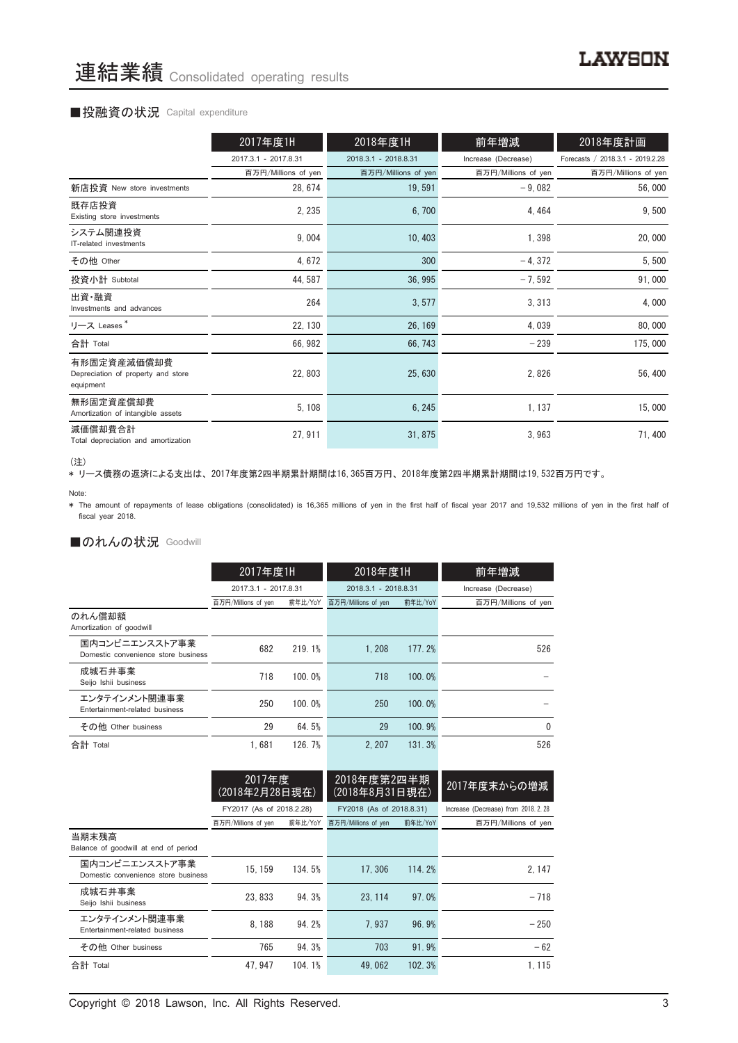#### ■投融資の状況 Capital expenditure

|                                                                | 2017年度1H             | 2018年度1H             | 前年増減                | 2018年度計画                         |
|----------------------------------------------------------------|----------------------|----------------------|---------------------|----------------------------------|
|                                                                | 2017.3.1 - 2017.8.31 | 2018.3.1 - 2018.8.31 | Increase (Decrease) | Forecasts / 2018.3.1 - 2019.2.28 |
|                                                                | 百万円/Millions of yen  | 百万円/Millions of yen  | 百万円/Millions of yen | 百万円/Millions of yen              |
| 新店投資 New store investments                                     | 28, 674              | 19,591               | $-9,082$            | 56,000                           |
| 既存店投資<br>Existing store investments                            | 2, 235               | 6,700                | 4,464               | 9,500                            |
| システム関連投資<br>IT-related investments                             | 9,004                | 10, 403              | 1,398               | 20,000                           |
| その他 Other                                                      | 4,672                | 300                  | $-4,372$            | 5,500                            |
| 投資小計 Subtotal                                                  | 44, 587              | 36, 995              | $-7,592$            | 91,000                           |
| 出資·融資<br>Investments and advances                              | 264                  | 3, 577               | 3, 313              | 4,000                            |
| リース Leases*                                                    | 22, 130              | 26, 169              | 4,039               | 80,000                           |
| 合計 Total                                                       | 66, 982              | 66, 743              | $-239$              | 175,000                          |
| 有形固定資産減価償却費<br>Depreciation of property and store<br>equipment | 22, 803              | 25,630               | 2,826               | 56, 400                          |
| 無形固定資産償却費<br>Amortization of intangible assets                 | 5, 108               | 6, 245               | 1, 137              | 15,000                           |
| 減価償却費合計<br>Total depreciation and amortization                 | 27, 911              | 31, 875              | 3,963               | 71,400                           |

<sup>(</sup>注)

\* リース債務の返済による支出は、2017年度第2四半期累計期間は16,365百万円、2018年度第2四半期累計期間は19,532百万円です。

\* The amount of repayments of lease obligations (consolidated) is 16,365 millions of yen in the first half of fiscal year 2017 and 19,532 millions of yen in the first half of fiscal year 2018.

#### ■のれんの状況 Goodwill

|                                                       | 2017年度1H             |         | 2018年度1H             |         | 前年増減                |  |
|-------------------------------------------------------|----------------------|---------|----------------------|---------|---------------------|--|
|                                                       | 2017.3.1 - 2017.8.31 |         | 2018.3.1 - 2018.8.31 |         | Increase (Decrease) |  |
|                                                       | 百万円/Millions of yen  | 前年比/YoY | 百万円/Millions of yen  | 前年比/YoY | 百万円/Millions of yen |  |
| のれん償却額<br>Amortization of goodwill                    |                      |         |                      |         |                     |  |
| 国内コンビニエンスストア事業<br>Domestic convenience store business | 682                  | 219.1%  | 1.208                | 177.2%  | 526                 |  |
| 成城石井事業<br>Seijo Ishii business                        | 718                  | 100.0%  | 718                  | 100.0%  |                     |  |
| エンタテインメント関連事業<br>Entertainment-related business       | 250                  | 100.0%  | 250                  | 100.0%  |                     |  |
| その他 Other business                                    | 29                   | 64.5%   | 29                   | 100.9%  | 0                   |  |
| 合計 Total                                              | 1.681                | 126.7%  | 2.207                | 131.3%  | 526                 |  |

| 2017年度<br>(2018年2月28日現在)                      |         |                          |         | 2017年度末からの増減                                              |
|-----------------------------------------------|---------|--------------------------|---------|-----------------------------------------------------------|
|                                               |         |                          |         | Increase (Decrease) from 2018, 2, 28                      |
| 百万円/Millions of yen                           | 前年比/YoY | 百万円/Millions of yen      | 前年比/YoY | 百万円/Millions of yen                                       |
|                                               |         |                          |         |                                                           |
| 15.159<br>Domestic convenience store business | 134.5%  | 17.306                   | 114.2%  | 2.147                                                     |
| 23.833                                        | 94.3%   | 23.114                   | 97.0%   | $-718$                                                    |
| 8.188                                         | 94.2%   | 7.937                    | 96.9%   | $-250$                                                    |
| 765                                           | 94.3%   | 703                      | 91.9%   | $-62$                                                     |
| 47.947                                        | 104.1%  | 49.062                   | 102.3%  | 1.115                                                     |
|                                               |         | FY2017 (As of 2018.2.28) |         | 2018年度第2四半期<br>(2018年8月31日現在)<br>FY2018 (As of 2018.8.31) |

Note: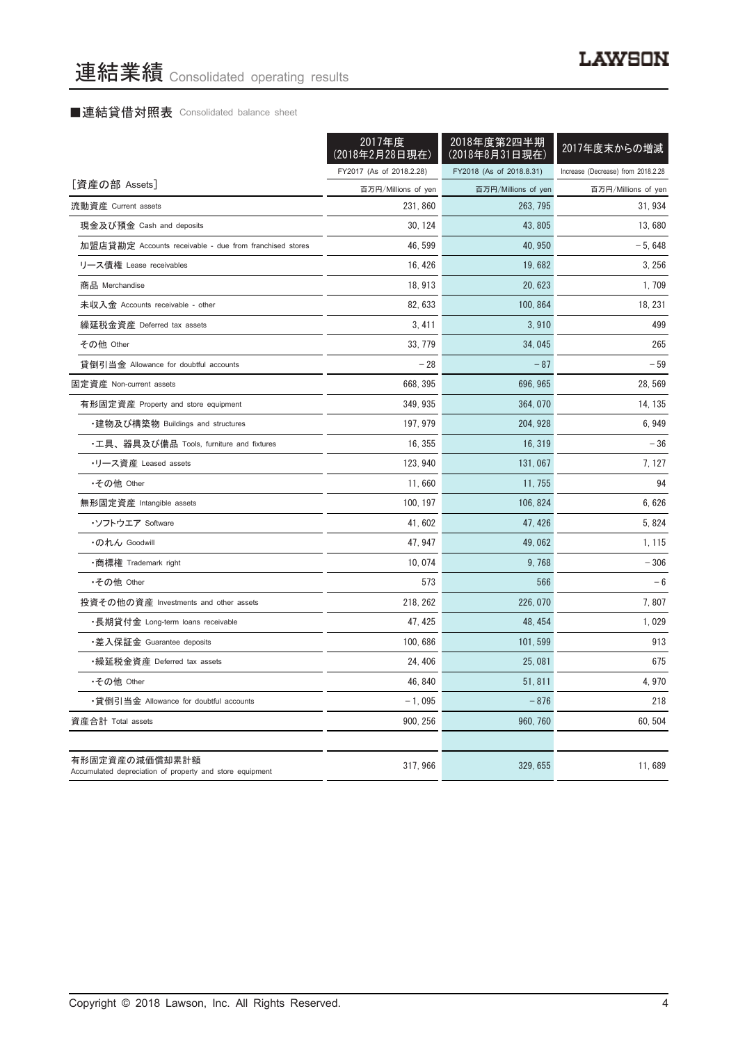# ■連結貸借対照表 Consolidated balance sheet

|                                                                            | 2017年度<br>(2018年2月28日現在) | 2018年度第2四半期<br>(2018年8月31日現在) | 2017年度末からの増減                       |
|----------------------------------------------------------------------------|--------------------------|-------------------------------|------------------------------------|
|                                                                            | FY2017 (As of 2018.2.28) | FY2018 (As of 2018.8.31)      | Increase (Decrease) from 2018.2.28 |
| [資産の部 Assets]                                                              | 百万円/Millions of yen      | 百万円/Millions of yen           | 百万円/Millions of yen                |
| 流動資産 Current assets                                                        | 231,860                  | 263, 795                      | 31, 934                            |
| 現金及び預金 Cash and deposits                                                   | 30, 124                  | 43, 805                       | 13.680                             |
| 加盟店貸勘定 Accounts receivable - due from franchised stores                    | 46, 599                  | 40, 950                       | $-5,648$                           |
| リース債権 Lease receivables                                                    | 16, 426                  | 19,682                        | 3,256                              |
| 商品 Merchandise                                                             | 18, 913                  | 20, 623                       | 1,709                              |
| 未収入金 Accounts receivable - other                                           | 82, 633                  | 100, 864                      | 18, 231                            |
| 繰延税金資産 Deferred tax assets                                                 | 3,411                    | 3,910                         | 499                                |
| その他 Other                                                                  | 33, 779                  | 34,045                        | 265                                |
| 貸倒引当金 Allowance for doubtful accounts                                      | $-28$                    | $-87$                         | $-59$                              |
| 固定資産 Non-current assets                                                    | 668, 395                 | 696, 965                      | 28, 569                            |
| 有形固定資産 Property and store equipment                                        | 349, 935                 | 364, 070                      | 14, 135                            |
| ・建物及び構築物 Buildings and structures                                          | 197, 979                 | 204, 928                      | 6,949                              |
| •工具、器具及び備品 Tools, furniture and fixtures                                   | 16, 355                  | 16, 319                       | $-36$                              |
| ・リース資産 Leased assets                                                       | 123, 940                 | 131, 067                      | 7, 127                             |
| •その他 Other                                                                 | 11,660                   | 11, 755                       | 94                                 |
| 無形固定資産 Intangible assets                                                   | 100, 197                 | 106, 824                      | 6,626                              |
| ・ソフトウエア Software                                                           | 41, 602                  | 47, 426                       | 5, 824                             |
| ・のれん Goodwill                                                              | 47, 947                  | 49,062                        | 1, 115                             |
| ・商標権 Trademark right                                                       | 10.074                   | 9.768                         | $-306$                             |
| •その他 Other                                                                 | 573                      | 566                           | $-6$                               |
| 投資その他の資産 Investments and other assets                                      | 218, 262                 | 226, 070                      | 7,807                              |
| ・長期貸付金 Long-term loans receivable                                          | 47, 425                  | 48, 454                       | 1,029                              |
| ・差入保証金 Guarantee deposits                                                  | 100, 686                 | 101, 599                      | 913                                |
| ・繰延税金資産 Deferred tax assets                                                | 24, 406                  | 25,081                        | 675                                |
| •その他 Other                                                                 | 46, 840                  | 51, 811                       | 4,970                              |
| •貸倒引当金 Allowance for doubtful accounts                                     | $-1,095$                 | $-876$                        | 218                                |
| 資産合計 Total assets                                                          | 900, 256                 | 960, 760                      | 60, 504                            |
|                                                                            |                          |                               |                                    |
| 有形固定資産の減価償却累計額<br>Accumulated depreciation of property and store equipment | 317, 966                 | 329, 655                      | 11,689                             |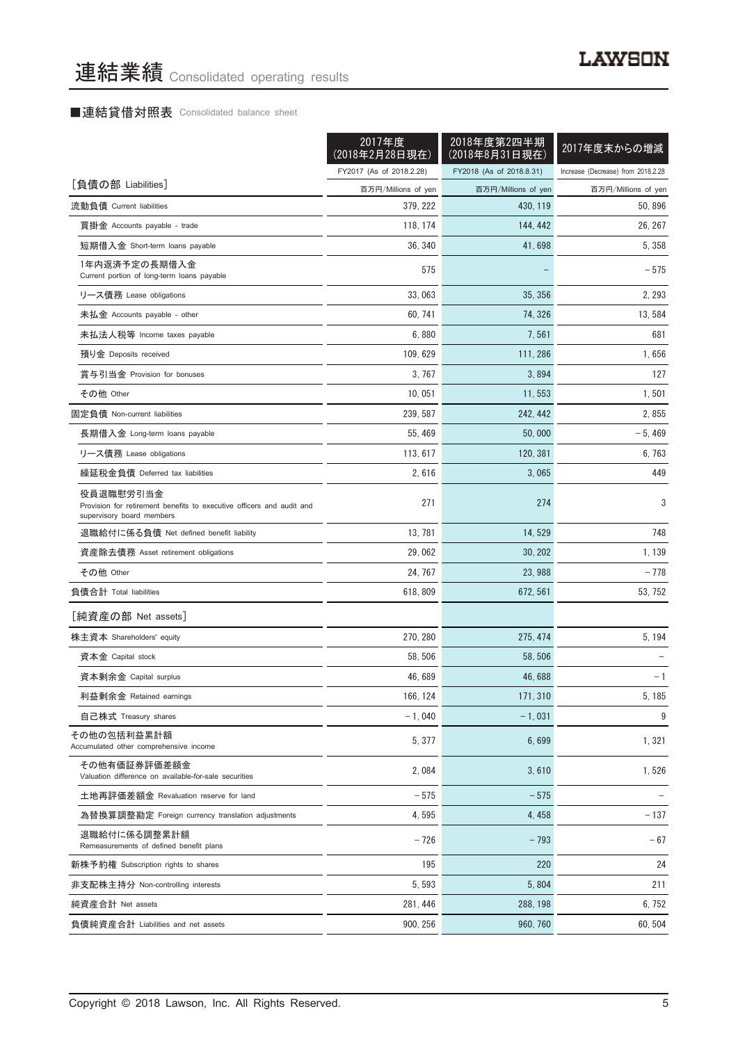# ■連結貸借対照表 Consolidated balance sheet

|                                                                                                                 | 2017年度<br>(2018年2月28日現在) | 2018年度第2四半期<br>(2018年8月31日現在) | 2017年度末からの増減                       |
|-----------------------------------------------------------------------------------------------------------------|--------------------------|-------------------------------|------------------------------------|
|                                                                                                                 | FY2017 (As of 2018.2.28) | FY2018 (As of 2018.8.31)      | Increase (Decrease) from 2018.2.28 |
| [負債の部 Liabilities]                                                                                              | 百万円/Millions of yen      | 百万円/Millions of yen           | 百万円/Millions of yen                |
| 流動負債 Current liabilities                                                                                        | 379, 222                 | 430, 119                      | 50, 896                            |
| 買掛金 Accounts payable - trade                                                                                    | 118, 174                 | 144, 442                      | 26, 267                            |
| 短期借入金 Short-term loans payable                                                                                  | 36, 340                  | 41,698                        | 5, 358                             |
| 1年内返済予定の長期借入金<br>Current portion of long-term loans payable                                                     | 575                      |                               | $-575$                             |
| リース債務 Lease obligations                                                                                         | 33,063                   | 35, 356                       | 2, 293                             |
| 未払金 Accounts payable - other                                                                                    | 60, 741                  | 74, 326                       | 13,584                             |
| 未払法人税等 Income taxes payable                                                                                     | 6,880                    | 7,561                         | 681                                |
| 預り金 Deposits received                                                                                           | 109, 629                 | 111, 286                      | 1,656                              |
| 賞与引当金 Provision for bonuses                                                                                     | 3.767                    | 3,894                         | 127                                |
| その他 Other                                                                                                       | 10, 051                  | 11, 553                       | 1,501                              |
| 固定負債 Non-current liabilities                                                                                    | 239, 587                 | 242, 442                      | 2,855                              |
| 長期借入金 Long-term loans payable                                                                                   | 55, 469                  | 50,000                        | $-5,469$                           |
| リース債務 Lease obligations                                                                                         | 113, 617                 | 120, 381                      | 6, 763                             |
| 繰延税金負債 Deferred tax liabilities                                                                                 | 2,616                    | 3,065                         | 449                                |
| 役員退職慰労引当金<br>Provision for retirement benefits to executive officers and audit and<br>supervisory board members | 271                      | 274                           | 3                                  |
| 退職給付に係る負債 Net defined benefit liability                                                                         | 13, 781                  | 14,529                        | 748                                |
| 資産除去債務 Asset retirement obligations                                                                             | 29,062                   | 30, 202                       | 1,139                              |
| その他 Other                                                                                                       | 24, 767                  | 23, 988                       | - 778                              |
| 負債合計 Total liabilities                                                                                          | 618, 809                 | 672, 561                      | 53, 752                            |
| [純資産の部 Net assets]                                                                                              |                          |                               |                                    |
| 株主資本 Shareholders' equity                                                                                       | 270, 280                 | 275, 474                      | 5, 194                             |
| 資本金 Capital stock                                                                                               | 58, 506                  | 58.506                        |                                    |
| 資本剰余金 Capital surplus                                                                                           | 46,689                   | 46, 688                       | - 1                                |
| 利益剰余金 Retained earnings                                                                                         | 166, 124                 | 171, 310                      | 5, 185                             |
| 自己株式 Treasury shares                                                                                            | $-1,040$                 | $-1,031$                      | 9                                  |
| その他の包括利益累計額<br>Accumulated other comprehensive income                                                           | 5, 377                   | 6,699                         | 1,321                              |
| その他有価証券評価差額金<br>Valuation difference on available-for-sale securities                                           | 2,084                    | 3,610                         | 1,526                              |
| 土地再評価差額金 Revaluation reserve for land                                                                           | - 575                    | $-575$                        |                                    |
| 為替換算調整勘定 Foreign currency translation adjustments                                                               | 4,595                    | 4,458                         | $-137$                             |
| 退職給付に係る調整累計額<br>Remeasurements of defined benefit plans                                                         | $-726$                   | $-793$                        | $-67$                              |
| 新株予約権 Subscription rights to shares                                                                             | 195                      | 220                           | 24                                 |
| 非支配株主持分 Non-controlling interests                                                                               | 5, 593                   | 5,804                         | 211                                |
| 純資産合計 Net assets                                                                                                | 281, 446                 | 288, 198                      | 6,752                              |
| 負債純資産合計 Liabilities and net assets                                                                              | 900, 256                 | 960, 760                      | 60,504                             |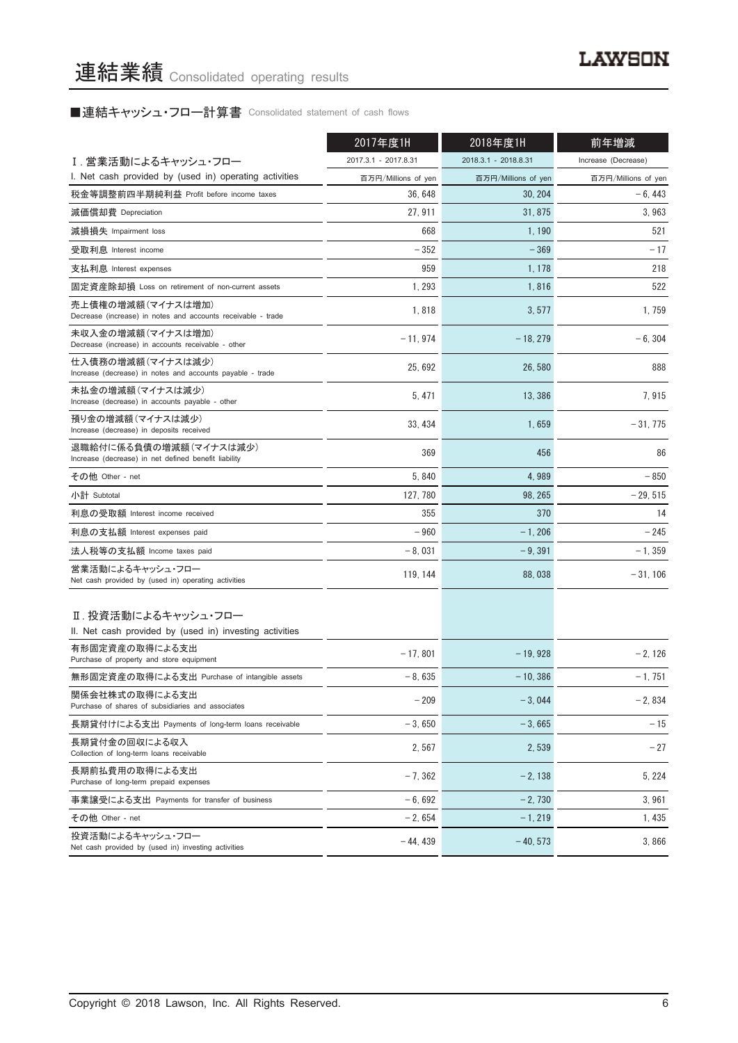■連結キャッシュ・フロー計算書 Consolidated statement of cash flows

|                                                                                   | 2017年度1H             | 2018年度1H             | 前年増減                |
|-----------------------------------------------------------------------------------|----------------------|----------------------|---------------------|
| Ⅰ. 営業活動によるキャッシュ・フロー                                                               | 2017.3.1 - 2017.8.31 | 2018.3.1 - 2018.8.31 | Increase (Decrease) |
| I. Net cash provided by (used in) operating activities                            | 百万円/Millions of yen  | 百万円/Millions of yen  | 百万円/Millions of yen |
| 税金等調整前四半期純利益 Profit before income taxes                                           | 36, 648              | 30.204               | $-6,443$            |
| 減価償却費 Depreciation                                                                | 27, 911              | 31, 875              | 3.963               |
| 減損損失 Impairment loss                                                              | 668                  | 1, 190               | 521                 |
| 受取利息 Interest income                                                              | $-352$               | $-369$               | $-17$               |
| 支払利息 Interest expenses                                                            | 959                  | 1, 178               | 218                 |
| 固定資産除却損 Loss on retirement of non-current assets                                  | 1, 293               | 1,816                | 522                 |
| 売上債権の増減額(マイナスは増加)<br>Decrease (increase) in notes and accounts receivable - trade | 1,818                | 3,577                | 1,759               |
| 未収入金の増減額(マイナスは増加)<br>Decrease (increase) in accounts receivable - other           | $-11,974$            | $-18, 279$           | $-6, 304$           |
| 仕入債務の増減額(マイナスは減少)<br>Increase (decrease) in notes and accounts payable - trade    | 25,692               | 26, 580              | 888                 |
| 未払金の増減額(マイナスは減少)<br>Increase (decrease) in accounts payable - other               | 5, 471               | 13.386               | 7,915               |
| 預り金の増減額(マイナスは減少)<br>Increase (decrease) in deposits received                      | 33, 434              | 1,659                | $-31.775$           |
| 退職給付に係る負債の増減額(マイナスは減少)<br>Increase (decrease) in net defined benefit liability    | 369                  | 456                  | 86                  |
| その他 Other - net                                                                   | 5,840                | 4,989                | $-850$              |
| 小計 Subtotal                                                                       | 127, 780             | 98, 265              | $-29,515$           |
| 利息の受取額 Interest income received                                                   | 355                  | 370                  | 14                  |
| 利息の支払額 Interest expenses paid                                                     | $-960$               | $-1,206$             | $-245$              |
| 法人税等の支払額 Income taxes paid                                                        | $-8,031$             | $-9,391$             | $-1, 359$           |
| 営業活動によるキャッシュ・フロー<br>Net cash provided by (used in) operating activities           | 119, 144             | 88,038               | $-31, 106$          |
| Ⅱ. 投資活動によるキャッシュ・フロー<br>II. Net cash provided by (used in) investing activities    |                      |                      |                     |
| 有形固定資産の取得による支出<br>Purchase of property and store equipment                        | $-17,801$            | $-19,928$            | $-2, 126$           |
| 無形固定資産の取得による支出 Purchase of intangible assets                                      | $-8.635$             | $-10, 386$           | $-1,751$            |
| 関係会社株式の取得による支出<br>Purchase of shares of subsidiaries and associates               | $-209$               | $-3,044$             | $-2,834$            |
| 長期貸付けによる支出 Payments of long-term loans receivable                                 | $-3,650$             | $-3.665$             | $-15$               |
| 長期貸付金の回収による収入<br>Collection of long-term loans receivable                         | 2,567                | 2,539                | $-27$               |
| 長期前払費用の取得による支出<br>Purchase of long-term prepaid expenses                          | $-7,362$             | $-2,138$             | 5, 224              |
| 事業譲受による支出 Payments for transfer of business                                       | $-6,692$             | $-2,730$             | 3,961               |
| その他 Other - net                                                                   | $-2,654$             | $-1, 219$            | 1, 435              |
| 投資活動によるキャッシュ・フロー<br>Net cash provided by (used in) investing activities           | $-44, 439$           | $-40, 573$           | 3,866               |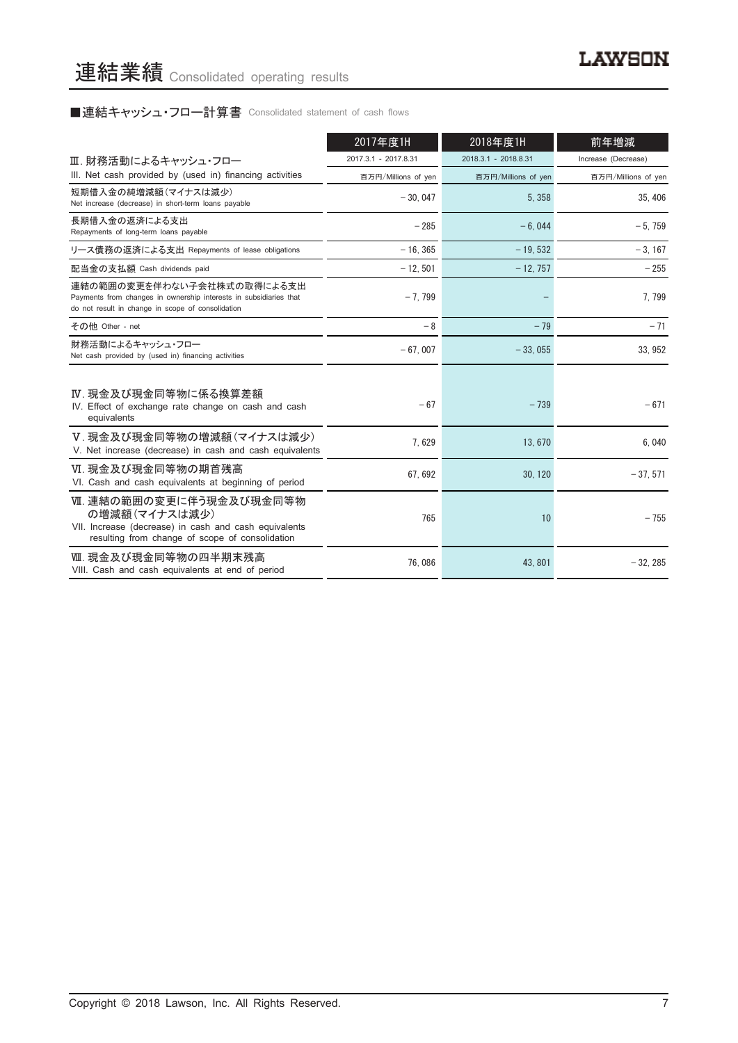# ■連結キャッシュ・フロー計算書 Consolidated statement of cash flows

|                                                                                                                                                      | 2017年度1H             | 2018年度1H             | 前年増減                |
|------------------------------------------------------------------------------------------------------------------------------------------------------|----------------------|----------------------|---------------------|
| Ⅲ. 財務活動によるキャッシュ・フロー                                                                                                                                  | 2017.3.1 - 2017.8.31 | 2018.3.1 - 2018.8.31 | Increase (Decrease) |
| III. Net cash provided by (used in) financing activities                                                                                             | 百万円/Millions of yen  | 百万円/Millions of yen  | 百万円/Millions of yen |
| 短期借入金の純増減額 (マイナスは減少)<br>Net increase (decrease) in short-term loans payable                                                                          | $-30.047$            | 5.358                | 35.406              |
| 長期借入金の返済による支出<br>Repayments of long-term loans payable                                                                                               | $-285$               | $-6.044$             | $-5.759$            |
| リース債務の返済による支出 Repayments of lease obligations                                                                                                        | $-16, 365$           | $-19,532$            | $-3.167$            |
| 配当金の支払額 Cash dividends paid                                                                                                                          | $-12.501$            | $-12, 757$           | $-255$              |
| 連結の範囲の変更を伴わない子会社株式の取得による支出<br>Payments from changes in ownership interests in subsidiaries that<br>do not result in change in scope of consolidation | $-7.799$             |                      | 7,799               |
| その他 Other - net                                                                                                                                      | $-8$                 | $-79$                | $-71$               |
| 財務活動によるキャッシュ・フロー<br>Net cash provided by (used in) financing activities                                                                              | $-67.007$            | $-33.055$            | 33.952              |
| Ⅳ. 現金及び現金同等物に係る換算差額<br>IV. Effect of exchange rate change on cash and cash<br>equivalents                                                            | $-67$                | $-739$               | $-671$              |
| V. 現金及び現金同等物の増減額 (マイナスは減少)<br>V. Net increase (decrease) in cash and cash equivalents                                                                | 7,629                | 13,670               | 6.040               |
| VI. 現金及び現金同等物の期首残高<br>VI. Cash and cash equivalents at beginning of period                                                                           | 67.692               | 30, 120              | $-37,571$           |
| Ⅶ. 連結の範囲の変更に伴う現金及び現金同等物<br>の増減額(マイナスは減少)<br>VII. Increase (decrease) in cash and cash equivalents<br>resulting from change of scope of consolidation | 765                  | 10                   | $-755$              |
| Ⅷ. 現金及び現金同等物の四半期末残高<br>VIII. Cash and cash equivalents at end of period                                                                              | 76.086               | 43.801               | $-32.285$           |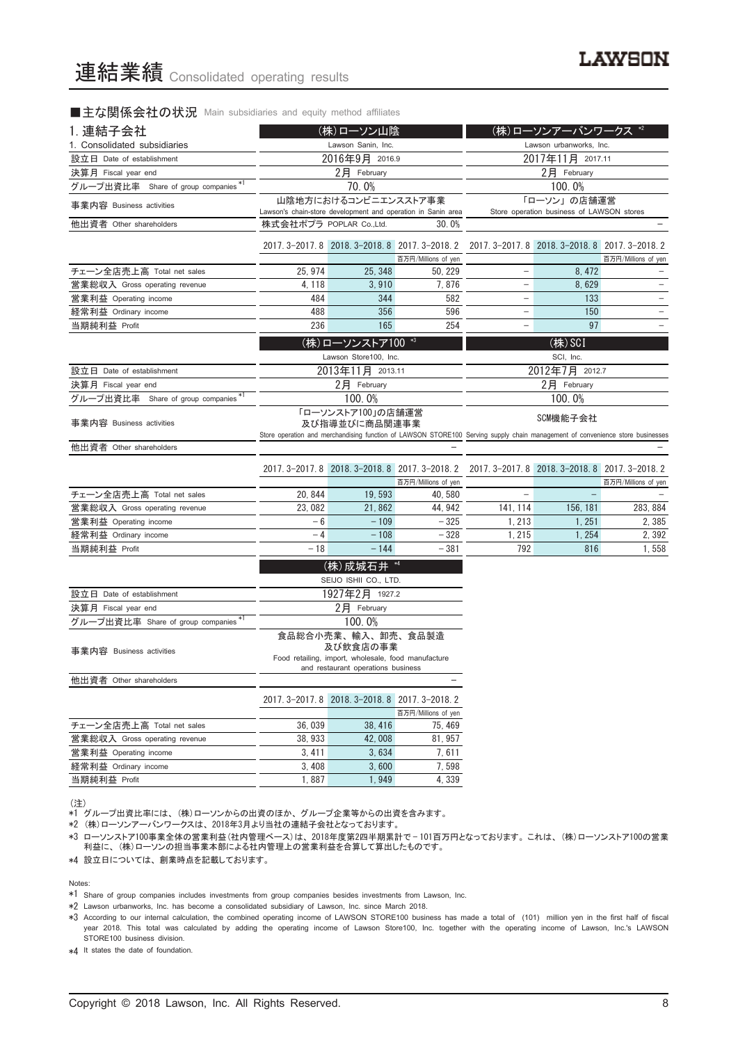### ■主な関係会社の状況 Main subsidiaries and equity method affiliates

| 1. 連結子会社<br>(株)ローソン山陰                |                         | (株)ローソンアーバンワークス *2                                                                        |                                                              |                                                                                                                                           |                                                          |                     |
|--------------------------------------|-------------------------|-------------------------------------------------------------------------------------------|--------------------------------------------------------------|-------------------------------------------------------------------------------------------------------------------------------------------|----------------------------------------------------------|---------------------|
| 1. Consolidated subsidiaries         |                         | Lawson Sanin, Inc.                                                                        |                                                              |                                                                                                                                           | Lawson urbanworks, Inc.                                  |                     |
| 設立日 Date of establishment            |                         | 2016年9月 2016.9                                                                            |                                                              |                                                                                                                                           | 2017年11月 2017.11                                         |                     |
| 決算月 Fiscal year end                  |                         | 2月 February                                                                               |                                                              | 2月 February                                                                                                                               |                                                          |                     |
| グループ出資比率 Share of group companies *1 |                         | 70.0%                                                                                     |                                                              | 100.0%                                                                                                                                    |                                                          |                     |
| 事業内容 Business activities             |                         | 山陰地方におけるコンビニエンスストア事業                                                                      | Lawson's chain-store development and operation in Sanin area |                                                                                                                                           | 「ローソン」の店舗運営<br>Store operation business of LAWSON stores |                     |
| 他出資者 Other shareholders              | 株式会社ポプラ POPLAR Co.,Ltd. |                                                                                           | 30.0%                                                        |                                                                                                                                           |                                                          |                     |
|                                      |                         | 2017. 3-2017. 8 2018. 3-2018. 8 2017. 3-2018. 2                                           | 百万円/Millions of yen                                          |                                                                                                                                           | 2017. 3-2017. 8 2018. 3-2018. 8 2017. 3-2018. 2          | 百万円/Millions of yen |
| チェーン全店売上高 Total net sales            | 25, 974                 | 25, 348                                                                                   | 50, 229                                                      | $\qquad \qquad -$                                                                                                                         | 8, 472                                                   |                     |
| 営業総収入 Gross operating revenue        | 4, 118                  | 3,910                                                                                     | 7,876                                                        |                                                                                                                                           | 8,629                                                    |                     |
| 営業利益 Operating income                | 484                     | 344                                                                                       | 582                                                          | $\qquad \qquad -$                                                                                                                         | 133                                                      |                     |
| 経常利益 Ordinary income                 | 488                     | 356                                                                                       | 596                                                          | $\qquad \qquad -$                                                                                                                         | 150                                                      |                     |
| 当期純利益 Profit                         | 236                     | 165                                                                                       | 254                                                          | -                                                                                                                                         | 97                                                       |                     |
|                                      |                         | (株)ローソンストア100 *3                                                                          |                                                              |                                                                                                                                           | (株) SCI                                                  |                     |
|                                      |                         | Lawson Store100, Inc.                                                                     |                                                              |                                                                                                                                           | SCI, Inc.                                                |                     |
| 設立日 Date of establishment            |                         | 2013年11月 2013.11                                                                          |                                                              |                                                                                                                                           | 2012年7月 2012.7                                           |                     |
| 決算月 Fiscal year end                  |                         | 2月 February                                                                               |                                                              |                                                                                                                                           | 2月 February                                              |                     |
| グループ出資比率 Share of group companies*1  | 100.0%                  |                                                                                           |                                                              |                                                                                                                                           | 100.0%                                                   |                     |
|                                      | 「ローソンストア100」の店舗運営       |                                                                                           |                                                              |                                                                                                                                           |                                                          |                     |
| 事業内容 Business activities             | 及び指導並びに商品関連事業           |                                                                                           |                                                              | SCM機能子会社<br>Store operation and merchandising function of LAWSON STORE100 Serving supply chain management of convenience store businesses |                                                          |                     |
| 他出資者 Other shareholders              |                         |                                                                                           |                                                              |                                                                                                                                           |                                                          |                     |
|                                      |                         |                                                                                           |                                                              |                                                                                                                                           |                                                          |                     |
|                                      |                         | 2017. 3-2017. 8 2018. 3-2018. 8 2017. 3-2018. 2                                           | 百万円/Millions of yen                                          |                                                                                                                                           | 2017. 3-2017. 8 2018. 3-2018. 8 2017. 3-2018. 2          | 百万円/Millions of yen |
| チェーン全店売上高 Total net sales            | 20, 844                 | 19,593                                                                                    | 40.580                                                       | $\qquad \qquad -$                                                                                                                         |                                                          |                     |
| 営業総収入 Gross operating revenue        | 23,082                  | 21,862                                                                                    | 44, 942                                                      | 141, 114                                                                                                                                  | 156, 181                                                 | 283, 884            |
| 営業利益 Operating income                | $-6$                    | $-109$                                                                                    | $-325$                                                       | 1, 213                                                                                                                                    | 1, 251                                                   | 2,385               |
| 経常利益 Ordinary income                 | $-4$                    | $-108$                                                                                    | $-328$                                                       | 1,215                                                                                                                                     | 1, 254                                                   | 2,392               |
| 当期純利益 Profit                         | $-18$                   | $-144$                                                                                    | $-381$                                                       | 792                                                                                                                                       | 816                                                      | 1,558               |
|                                      |                         | (株)成城石井 *4                                                                                |                                                              |                                                                                                                                           |                                                          |                     |
|                                      |                         | SEIJO ISHII CO., LTD.                                                                     |                                                              |                                                                                                                                           |                                                          |                     |
| 設立日 Date of establishment            |                         | 1927年2月 1927.2                                                                            |                                                              |                                                                                                                                           |                                                          |                     |
| 決算月 Fiscal year end                  |                         | $2$ 月 February                                                                            |                                                              |                                                                                                                                           |                                                          |                     |
| グループ出資比率 Share of group companies *  |                         | 100.0%                                                                                    |                                                              |                                                                                                                                           |                                                          |                     |
|                                      |                         | 食品総合小売業、輸入、卸売、食品製造<br>及び飲食店の事業                                                            |                                                              |                                                                                                                                           |                                                          |                     |
| 事業内容 Business activities             |                         | Food retailing, import, wholesale, food manufacture<br>and restaurant operations business |                                                              |                                                                                                                                           |                                                          |                     |
| 他出資者 Other shareholders              |                         |                                                                                           |                                                              |                                                                                                                                           |                                                          |                     |
|                                      |                         |                                                                                           |                                                              |                                                                                                                                           |                                                          |                     |
|                                      |                         | 2017. 3-2017. 8 2018. 3-2018. 8 2017. 3-2018. 2                                           |                                                              |                                                                                                                                           |                                                          |                     |
| チェーン全店売上高 Total net sales            | 36,039                  | 38.416                                                                                    | 百万円/Millions of yen<br>75, 469                               |                                                                                                                                           |                                                          |                     |
| 営業総収入 Gross operating revenue        | 38.933                  | 42.008                                                                                    | 81, 957                                                      |                                                                                                                                           |                                                          |                     |
| 営業利益 Operating income                | 3,411                   | 3,634                                                                                     | 7, 611                                                       |                                                                                                                                           |                                                          |                     |
| 経常利益 Ordinary income                 | 3,408                   | 3,600                                                                                     | 7,598                                                        |                                                                                                                                           |                                                          |                     |
| 当期純利益 Profit                         | 1,887                   | 1,949                                                                                     | 4,339                                                        |                                                                                                                                           |                                                          |                     |
|                                      |                         |                                                                                           |                                                              |                                                                                                                                           |                                                          |                     |

(注)

、......<br>\*1 グループ出資比率には、(株)ローソンからの出資のほか、グループ企業等からの出資を含みます。

\*2 (株)ローソンアーバンワークスは、2018年3月より当社の連結子会社となっております。

\*3 ローソンストア100事業全体の営業利益(社内管理ベース)は、2018年度第2四半期累計で — 101百万円となっております。これは、(株)ローソンストア100の営業 利益に、(株)ローソンの担当事業本部による社内管理上の営業利益を合算して算出したものです。

\*4 設立日については、創業時点を記載しております。

Notes:

\*1 Share of group companies includes investments from group companies besides investments from Lawson, Inc.

\*2 Lawson urbanworks, Inc. has become a consolidated subsidiary of Lawson, Inc. since March 2018.

\*3 According to our internal calculation, the combined operating income of LAWSON STORE100 business has made a total of (101) million yen in the first half of fiscal year 2018. This total was calculated by adding the operating income of Lawson Store100, Inc. together with the operating income of Lawson, Inc.'s LAWSON STORE100 business division.

\*4 It states the date of foundation.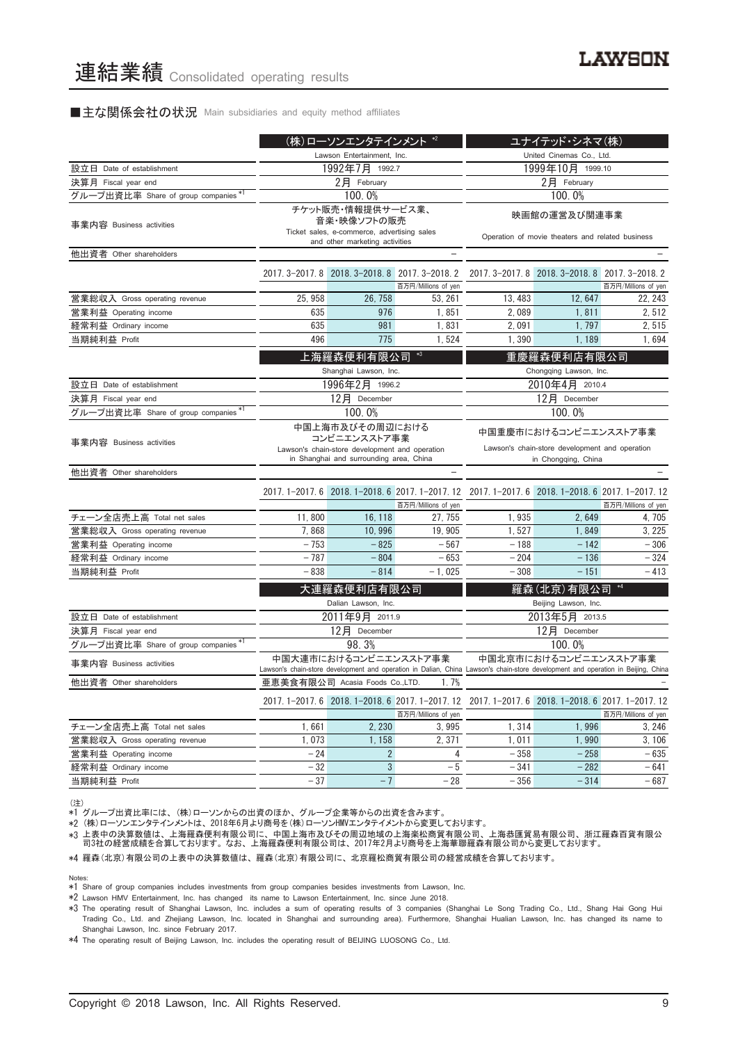#### ■主な関係会社の状況 Main subsidiaries and equity method affiliates

|                                      |                            | (株)ローソンエンタテインメント *2                                                                                                          |                                                                        |                                                                                                                                  | ユナイテッド・シネマ(株)                                                                                  |                     |
|--------------------------------------|----------------------------|------------------------------------------------------------------------------------------------------------------------------|------------------------------------------------------------------------|----------------------------------------------------------------------------------------------------------------------------------|------------------------------------------------------------------------------------------------|---------------------|
|                                      | Lawson Entertainment, Inc. |                                                                                                                              |                                                                        |                                                                                                                                  | United Cinemas Co., Ltd.                                                                       |                     |
| 設立日 Date of establishment            |                            | 1992年7月 1992.7                                                                                                               |                                                                        | 1999年10月 1999.10                                                                                                                 |                                                                                                |                     |
| 決算月 Fiscal year end                  |                            | $2$ 月 February                                                                                                               |                                                                        | $2$ 月 February                                                                                                                   |                                                                                                |                     |
| グループ出資比率 Share of group companies *1 |                            | 100.0%                                                                                                                       |                                                                        |                                                                                                                                  | 100.0%                                                                                         |                     |
| 事業内容 Business activities             |                            | チケット販売・情報提供サービス業、<br>音楽・映像ソフトの販売<br>Ticket sales, e-commerce, advertising sales<br>and other marketing activities            |                                                                        | 映画館の運営及び関連事業<br>Operation of movie theaters and related business                                                                 |                                                                                                |                     |
| 他出資者 Other shareholders              |                            |                                                                                                                              |                                                                        |                                                                                                                                  |                                                                                                |                     |
|                                      |                            |                                                                                                                              | 2017. 3-2017. 8 2018. 3-2018. 8 2017. 3-2018. 2<br>百万円/Millions of yen | 2017. 3-2017. 8 2018. 3-2018. 8 2017. 3-2018. 2<br>百万円/Millions of yen                                                           |                                                                                                |                     |
| 営業総収入 Gross operating revenue        | 25, 958                    | 26, 758                                                                                                                      | 53, 261                                                                | 13, 483                                                                                                                          | 12.647                                                                                         | 22, 243             |
| 営業利益 Operating income                | 635                        | 976                                                                                                                          | 1,851                                                                  | 2,089                                                                                                                            | 1.811                                                                                          | 2,512               |
| 経常利益 Ordinary income                 | 635                        | 981                                                                                                                          | 1,831                                                                  | 2,091                                                                                                                            | 1,797                                                                                          | 2,515               |
| 当期純利益 Profit                         | 496                        | 775                                                                                                                          | 1,524                                                                  | 1,390                                                                                                                            | 1,189                                                                                          | 1,694               |
|                                      |                            | 上海羅森便利有限公司<br>Shanghai Lawson, Inc.                                                                                          | $*3$                                                                   |                                                                                                                                  | 重慶羅森便利店有限公司<br>Chongqing Lawson, Inc.                                                          |                     |
| 設立日 Date of establishment            |                            | 1996年2月 1996.2                                                                                                               |                                                                        | 2010年4月 2010.4                                                                                                                   |                                                                                                |                     |
| 決算月 Fiscal year end                  |                            | 12月 December                                                                                                                 |                                                                        | 12月 December                                                                                                                     |                                                                                                |                     |
| グループ出資比率 Share of group companies*1  |                            | 100.0%                                                                                                                       |                                                                        |                                                                                                                                  | 100.0%                                                                                         |                     |
| 事業内容 Business activities             |                            | 中国上海市及びその周辺における<br>コンビニエンスストア事業<br>Lawson's chain-store development and operation<br>in Shanghai and surrounding area, China |                                                                        |                                                                                                                                  | 中国重慶市におけるコンビニエンスストア事業<br>Lawson's chain-store development and operation<br>in Chongqing, China |                     |
| 他出資者 Other shareholders              |                            |                                                                                                                              |                                                                        |                                                                                                                                  |                                                                                                |                     |
|                                      |                            |                                                                                                                              | 百万円/Millions of yen                                                    | 2017.1-2017.6 2018.1-2018.6 2017.1-2017.12 2017.1-2017.6 2018.1-2018.6 2017.1-2017.12                                            |                                                                                                | 百万円/Millions of yen |
| チェーン全店売上高 Total net sales            | 11,800                     | 16, 118                                                                                                                      | 27, 755                                                                | 1,935                                                                                                                            | 2,649                                                                                          | 4, 705              |
| 営業総収入 Gross operating revenue        | 7,868                      | 10,996                                                                                                                       | 19, 905                                                                | 1,527                                                                                                                            | 1,849                                                                                          | 3, 225              |
| 営業利益 Operating income                | $-753$                     | $-825$                                                                                                                       | $-567$                                                                 | $-188$                                                                                                                           | $-142$                                                                                         | $-306$              |
| 経常利益 Ordinary income                 | $-787$                     | $-804$                                                                                                                       | $-653$                                                                 | $-204$                                                                                                                           | $-136$                                                                                         | $-324$              |
| 当期純利益 Profit                         | $-838$                     | $-814$                                                                                                                       | $-1,025$                                                               | $-308$                                                                                                                           | $-151$                                                                                         | $-413$              |
|                                      |                            | 大連羅森便利店有限公司<br>Dalian Lawson, Inc.                                                                                           |                                                                        |                                                                                                                                  | 羅森(北京)有限公司<br>Beijing Lawson, Inc.                                                             |                     |
| 設立日 Date of establishment            |                            | 2011年9月 2011.9                                                                                                               |                                                                        |                                                                                                                                  | 2013年5月 2013.5                                                                                 |                     |
| 決算月 Fiscal year end                  |                            | 12月 December                                                                                                                 |                                                                        |                                                                                                                                  | 12月 December                                                                                   |                     |
| グループ出資比率 Share of group companies *1 |                            | 98.3%                                                                                                                        |                                                                        |                                                                                                                                  | 100.0%                                                                                         |                     |
| 事業内容 Business activities             |                            | 中国大連市におけるコンビニエンスストア事業                                                                                                        |                                                                        | Lawson's chain-store development and operation in Dalian, China Lawson's chain-store development and operation in Beijing, China | 中国北京市におけるコンビニエンスストア事業                                                                          |                     |
| 他出資者 Other shareholders              |                            | 亜恵美食有限公司 Acasia Foods Co.,LTD.                                                                                               | 1.7%                                                                   |                                                                                                                                  |                                                                                                |                     |
|                                      |                            |                                                                                                                              | 百万円/Millions of yen                                                    | 2017.1-2017.6 2018.1-2018.6 2017.1-2017.12 2017.1-2017.6 2018.1-2018.6 2017.1-2017.12                                            |                                                                                                | 百万円/Millions of yen |
| チェーン全店売上高 Total net sales            | 1,661                      | 2, 230                                                                                                                       | 3,995                                                                  | 1,314                                                                                                                            | 1,996                                                                                          | 3,246               |
| 営業総収入 Gross operating revenue        | 1,073                      | 1, 158                                                                                                                       | 2,371                                                                  | 1,011                                                                                                                            | 1,990                                                                                          | 3,106               |
| 営業利益 Operating income                | $-24$                      | $\overline{2}$                                                                                                               | 4                                                                      | $-358$                                                                                                                           | $-258$                                                                                         | $-635$              |
| 経常利益 Ordinary income                 | $-32$                      | $\sqrt{3}$                                                                                                                   | $-5$                                                                   | $-341$                                                                                                                           | $-282$                                                                                         | $-641$              |
| 当期純利益 Profit                         | $-37$                      | $-7$                                                                                                                         | $-28$                                                                  | $-356$                                                                                                                           | $-314$                                                                                         | $-687$              |

(注)

\*1 グループ出資比率には、(株)ローソンからの出資のほか、グループ企業等からの出資を含みます。

\*2 (株)ローソンエンタテインメントは、2018年6月より商号を(株)ローソンHMVエンタテイメントから変更しております。

\*3 上表中の決算数値は、上海羅森便利有限公司に、中国上海市及びその周辺地域の上海楽松商貿有限公司、上海恭匯貿易有限公司、浙江羅森百貨有限公 司3社の経営成績を合算しております。なお、上海羅森便利有限公司は、2017年2月より商号を上海華聯羅森有限公司から変更しております。

\*4 羅森(北京)有限公司の上表中の決算数値は、羅森(北京)有限公司に、北京羅松商貿有限公司の経営成績を合算しております。

Notes:

\*1 Share of group companies includes investments from group companies besides investments from Lawson, Inc.

\*2 Lawson HMV Entertainment, Inc. has changed its name to Lawson Entertainment, Inc. since June 2018.

\*3 The operating result of Shanghai Lawson, Inc. includes a sum of operating results of 3 companies (Shanghai Le Song Trading Co., Ltd., Shang Hai Gong Hui Trading Co., Ltd. and Zhejiang Lawson, Inc. located in Shanghai and surrounding area). Furthermore, Shanghai Hualian Lawson, Inc. has changed its name to Shanghai Lawson, Inc. since February 2017.

\*4 The operating result of Beijing Lawson, Inc. includes the operating result of BEIJING LUOSONG Co., Ltd.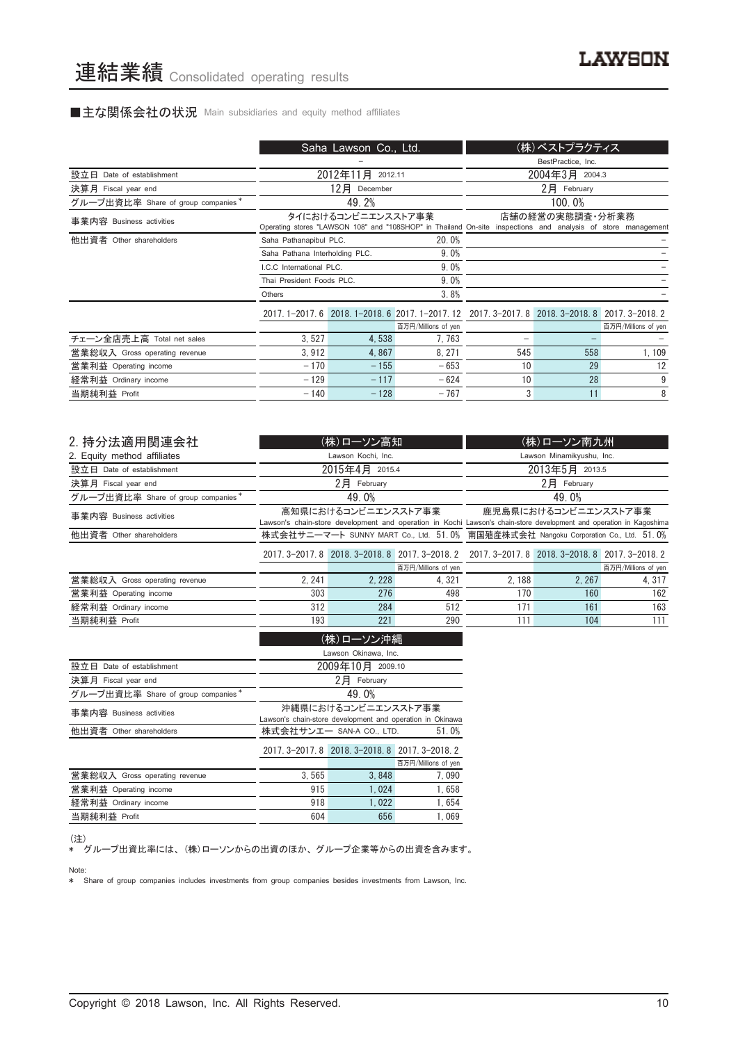# ■主な関係会社の状況 Main subsidiaries and equity method affiliates

|                                    |                                                                                                                                    | Saha Lawson Co., Ltd. |                                                                                      |     | (株)ベストプラクティス       |                     |
|------------------------------------|------------------------------------------------------------------------------------------------------------------------------------|-----------------------|--------------------------------------------------------------------------------------|-----|--------------------|---------------------|
|                                    |                                                                                                                                    |                       |                                                                                      |     | BestPractice, Inc. |                     |
| 設立日 Date of establishment          |                                                                                                                                    | 2012年11月<br>2012.11   |                                                                                      |     | 2004年3月 2004.3     |                     |
| 決算月 Fiscal year end                |                                                                                                                                    | 12月<br>December       |                                                                                      |     | 2月 February        |                     |
| グループ出資比率 Share of group companies* |                                                                                                                                    | 49.2%                 |                                                                                      |     | 100.0%             |                     |
| 事業内容 Business activities           | タイにおけるコンビニエンスストア事業<br>Operating stores "LAWSON 108" and "108SHOP" in Thailand On-site inspections and analysis of store management |                       |                                                                                      |     | 店舗の経営の実態調査・分析業務    |                     |
| 他出資者 Other shareholders            | Saha Pathanapibul PLC.                                                                                                             |                       | 20.0%                                                                                |     |                    |                     |
|                                    | Saha Pathana Interholding PLC.                                                                                                     |                       | 9.0%                                                                                 |     |                    |                     |
|                                    | LC.C. International PLC.                                                                                                           |                       | 9.0%                                                                                 |     |                    |                     |
|                                    | Thai President Foods PLC.                                                                                                          |                       | 9.0%                                                                                 |     |                    |                     |
|                                    | Others                                                                                                                             |                       | 3.8%                                                                                 |     |                    |                     |
|                                    |                                                                                                                                    |                       | 2017.1-2017.6 2018.1-2018.6 2017.1-2017.12 2017.3-2017.8 2018.3-2018.8 2017.3-2018.2 |     |                    |                     |
|                                    |                                                                                                                                    |                       | 百万円/Millions of yen                                                                  |     |                    | 百万円/Millions of yen |
| チェーン全店売上高 Total net sales          | 3.527                                                                                                                              | 4,538                 | 7.763                                                                                |     |                    |                     |
| 営業総収入 Gross operating revenue      | 3,912                                                                                                                              | 4,867                 | 8.271                                                                                | 545 | 558                | 1, 109              |
| 営業利益 Operating income              | $-170$                                                                                                                             | $-155$                | $-653$                                                                               | 10  | 29                 | 12                  |
| 経常利益 Ordinary income               | $-129$                                                                                                                             | $-117$                | $-624$                                                                               | 10  | 28                 | 9                   |
| 当期純利益 Profit                       | $-140$                                                                                                                             | $-128$                | $-767$                                                                               | 3   | 11                 | 8                   |

| 2. 持分法適用関連会社                       |        | (株)ローソン高知                   |                     |                                                                                                                     | (株)ローソン南九州           |                     |
|------------------------------------|--------|-----------------------------|---------------------|---------------------------------------------------------------------------------------------------------------------|----------------------|---------------------|
| 2. Equity method affiliates        |        | Lawson Kochi, Inc.          |                     | Lawson Minamikyushu, Inc.                                                                                           |                      |                     |
| 設立日 Date of establishment          |        | 2015年4月 2015.4              |                     | 2013年5月 2013.5                                                                                                      |                      |                     |
| 決算月 Fiscal year end                |        | $2$ $\overline{F}$ February |                     |                                                                                                                     | $2$ 月 February       |                     |
| グループ出資比率 Share of group companies* |        | 49.0%                       |                     | 49.0%                                                                                                               |                      |                     |
| 事業内容 Business activities           |        | 高知県におけるコンビニエンスストア事業         |                     |                                                                                                                     | 鹿児島県におけるコンビニエンスストア事業 |                     |
|                                    |        |                             |                     | Lawson's chain-store development and operation in Kochi Lawson's chain-store development and operation in Kagoshima |                      |                     |
| 他出資者 Other shareholders            |        |                             |                     | 株式会社サニーマート SUNNY MART Co., Ltd. 51.0% 南国殖産株式会社 Nangoku Corporation Co., Ltd. 51.0%                                  |                      |                     |
|                                    |        |                             |                     | 2017. 3-2017. 8 2018. 3-2018. 8 2017. 3-2018. 2 2017. 3-2017. 8 2018. 3-2018. 8 2017. 3-2018. 2                     |                      |                     |
|                                    |        |                             | 百万円/Millions of yen |                                                                                                                     |                      | 百万円/Millions of yen |
| 営業総収入 Gross operating revenue      | 2, 241 | 2, 228                      | 4.321               | 2.188                                                                                                               | 2.267                | 4, 317              |
| 営業利益 Operating income              | 303    | 276                         | 498                 | 170                                                                                                                 | 160                  | 162                 |
| 経常利益 Ordinary income               | 312    | 284                         | 512                 | 171                                                                                                                 | 161                  | 163                 |
| 当期純利益 Profit                       | 193    | 221                         | 290                 | 111                                                                                                                 | 104                  | 111                 |
|                                    |        | (株)ローソン沖縄                   |                     |                                                                                                                     |                      |                     |
| Lawson Okinawa, Inc.               |        |                             |                     |                                                                                                                     |                      |                     |

|                                    | Lawson Okinawa, Inc.                                      |                                                 |                     |  |  |
|------------------------------------|-----------------------------------------------------------|-------------------------------------------------|---------------------|--|--|
| 設立日 Date of establishment          | 2009年10月 2009.10                                          |                                                 |                     |  |  |
| 決算月 Fiscal year end                |                                                           | 2月<br>February                                  |                     |  |  |
| グループ出資比率 Share of group companies* |                                                           | 49.0%                                           |                     |  |  |
| 事業内容 Business activities           |                                                           | 沖縄県におけるコンビニエンスストア事業                             |                     |  |  |
|                                    | Lawson's chain-store development and operation in Okinawa |                                                 |                     |  |  |
| 他出資者 Other shareholders            | 株式会社サンエー SAN-A CO., LTD.<br>51.0%                         |                                                 |                     |  |  |
|                                    |                                                           | 2017. 3-2017. 8 2018. 3-2018. 8 2017. 3-2018. 2 |                     |  |  |
|                                    |                                                           |                                                 | 百万円/Millions of yen |  |  |
| 営業総収入 Gross operating revenue      | 3.565                                                     | 3,848                                           | 7,090               |  |  |
| 営業利益 Operating income              | 915                                                       | 1.024                                           | 1,658               |  |  |
| 経常利益 Ordinary income               | 918                                                       | 1.022                                           | 1,654               |  |  |
| 当期純利益 Profit                       | 604                                                       | 656                                             | 1.069               |  |  |
|                                    |                                                           |                                                 |                     |  |  |

(注)

\* グループ出資比率には、(株)ローソンからの出資のほか、グループ企業等からの出資を含みます。

Note:

\* Share of group companies includes investments from group companies besides investments from Lawson, Inc.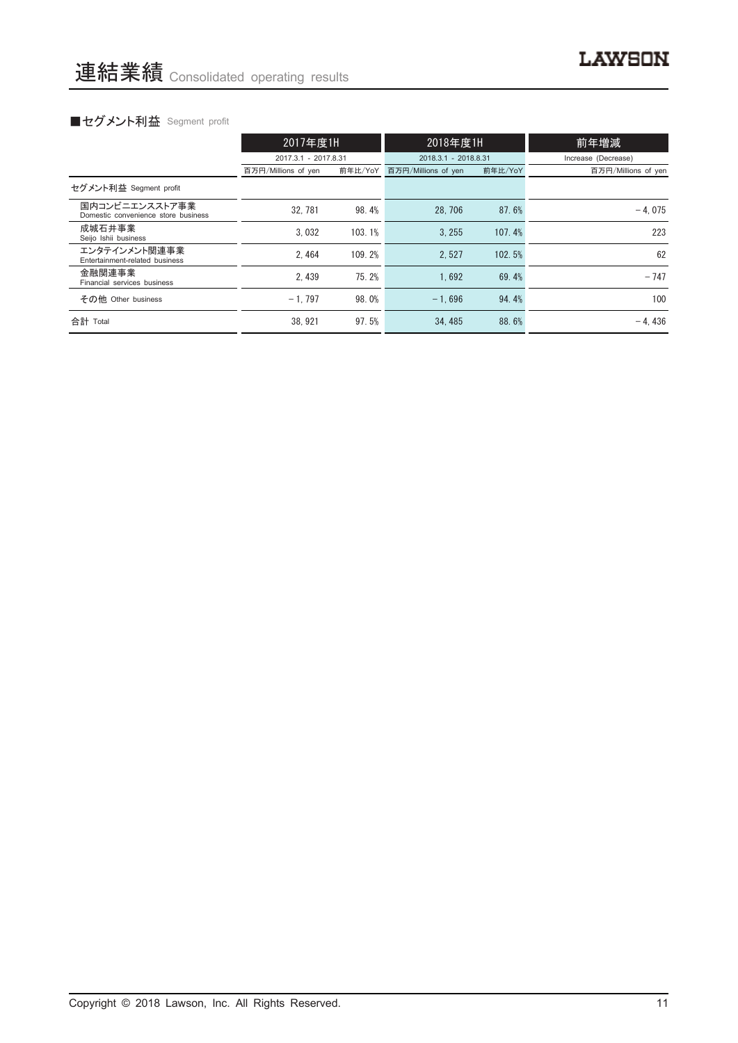# ■セグメント利益 Segment profit

|                                                       | 2017年度1H             |         | 2018年度1H             |         | 前年増減                |  |
|-------------------------------------------------------|----------------------|---------|----------------------|---------|---------------------|--|
|                                                       | 2017.3.1 - 2017.8.31 |         | 2018.3.1 - 2018.8.31 |         | Increase (Decrease) |  |
|                                                       | 百万円/Millions of yen  | 前年比/YoY | 百万円/Millions of yen  | 前年比/YoY | 百万円/Millions of yen |  |
| セグメント利益 Segment profit                                |                      |         |                      |         |                     |  |
| 国内コンビニエンスストア事業<br>Domestic convenience store business | 32, 781              | 98.4%   | 28.706               | 87.6%   | $-4.075$            |  |
| 成城石井事業<br>Seijo Ishii business                        | 3.032                | 103.1%  | 3.255                | 107.4%  | 223                 |  |
| エンタテインメント関連事業<br>Entertainment-related business       | 2.464                | 109.2%  | 2.527                | 102.5%  | 62                  |  |
| 金融関連事業<br>Financial services business                 | 2.439                | 75.2%   | 1.692                | 69.4%   | $-747$              |  |
| その他 Other business                                    | $-1.797$             | 98.0%   | $-1.696$             | 94.4%   | 100                 |  |
| 合計 Total                                              | 38.921               | 97.5%   | 34.485               | 88.6%   | $-4.436$            |  |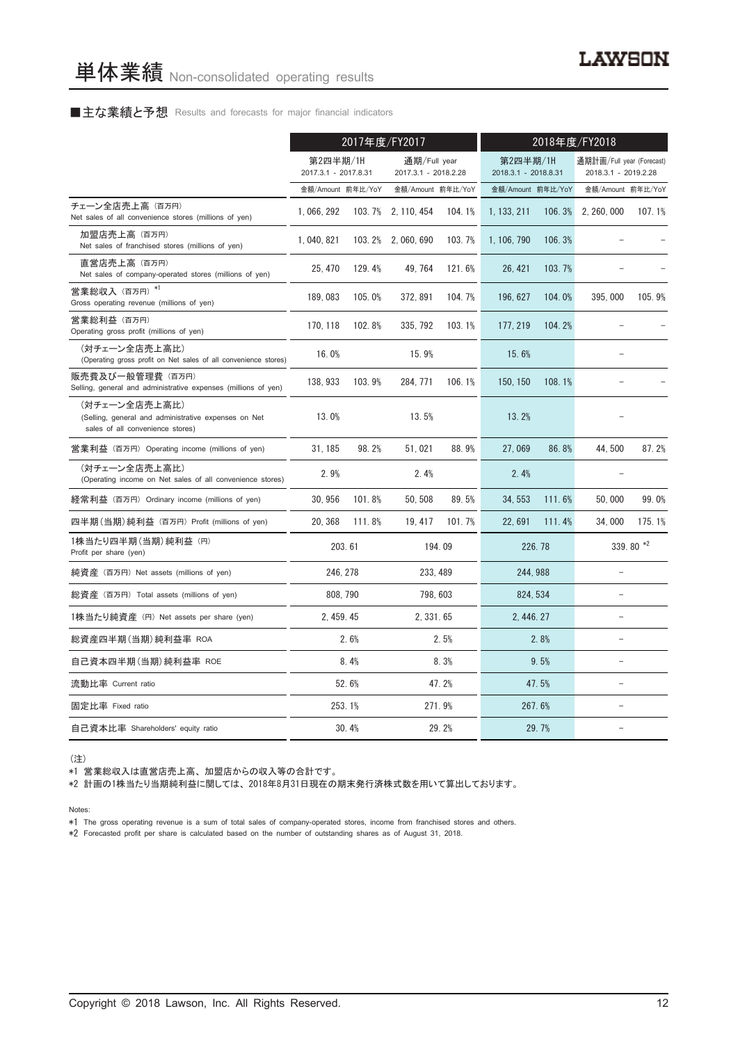#### ■主な業績と予想 Results and forecasts for major financial indicators

|                                                                                                           | 2017年度/FY2017                    |        |                                      |        | 2018年度/FY2018                    |         |                                                   |             |
|-----------------------------------------------------------------------------------------------------------|----------------------------------|--------|--------------------------------------|--------|----------------------------------|---------|---------------------------------------------------|-------------|
|                                                                                                           | 第2四半期/1H<br>2017.3.1 - 2017.8.31 |        | 通期/Full year<br>2017.3.1 - 2018.2.28 |        | 第2四半期/1H<br>2018.3.1 - 2018.8.31 |         | 通期計画/Full year (Forecast)<br>2018.3.1 - 2019.2.28 |             |
|                                                                                                           | 金額/Amount 前年比/YoY                |        | 金額/Amount 前年比/YoY                    |        | 金額/Amount 前年比/YoY                |         | 金額/Amount 前年比/YoY                                 |             |
| チェーン全店売上高 (百万円)<br>Net sales of all convenience stores (millions of yen)                                  | 1, 066, 292                      | 103.7% | 2, 110, 454                          | 104.1% | 1, 133, 211                      | 106.3%  | 2, 260, 000                                       | 107.1%      |
| 加盟店売上高 (百万円)<br>Net sales of franchised stores (millions of yen)                                          | 1, 040, 821                      |        | 103.2% 2.060.690                     | 103.7% | 1, 106, 790                      | 106.3%  |                                                   |             |
| 直営店売上高(百万円)<br>Net sales of company-operated stores (millions of yen)                                     | 25, 470                          | 129.4% | 49, 764                              | 121.6% | 26, 421                          | 103.7%  |                                                   |             |
| 営業総収入 (百万円) *1<br>Gross operating revenue (millions of yen)                                               | 189,083                          | 105.0% | 372, 891                             | 104.7% | 196, 627                         | 104.0%  | 395,000                                           | 105.9%      |
| 営業総利益 (百万円)<br>Operating gross profit (millions of yen)                                                   | 170, 118                         | 102.8% | 335, 792                             | 103.1% | 177, 219                         | 104.2%  |                                                   |             |
| (対チェーン全店売上高比)<br>(Operating gross profit on Net sales of all convenience stores)                          | 16.0%                            |        | 15.9%                                |        | 15.6%                            |         |                                                   |             |
| 販売費及び一般管理費 (百万円)<br>Selling, general and administrative expenses (millions of yen)                        | 138, 933                         | 103.9% | 284.771                              | 106.1% | 150, 150                         | 108.1%  |                                                   |             |
| (対チェーン全店売上高比)<br>(Selling, general and administrative expenses on Net<br>sales of all convenience stores) | 13.0%                            |        | 13.5%                                |        | 13.2%                            |         |                                                   |             |
| 営業利益 (百万円) Operating income (millions of yen)                                                             | 31, 185                          | 98.2%  | 51,021                               | 88.9%  | 27,069                           | 86.8%   | 44,500                                            | 87.2%       |
| (対チェーン全店売上高比)<br>(Operating income on Net sales of all convenience stores)                                | 2.9%                             |        | 2.4%                                 |        | 2.4%                             |         |                                                   |             |
| 経常利益 (百万円) Ordinary income (millions of yen)                                                              | 30, 956                          | 101.8% | 50, 508                              | 89.5%  | 34, 553                          | 111.6%  | 50,000                                            | 99.0%       |
| 四半期(当期)純利益 (百万円) Profit (millions of yen)                                                                 | 20, 368                          | 111.8% | 19, 417                              | 101.7% | 22,691                           | 111.4%  | 34,000                                            | 175.1%      |
| 1株当たり四半期 (当期) 純利益 (円)<br>Profit per share (yen)                                                           |                                  | 203.61 |                                      | 194.09 |                                  | 226, 78 |                                                   | 339.80 $*2$ |
| 純資産 (百万円) Net assets (millions of yen)                                                                    | 246.278                          |        | 233.489                              |        | 244.988                          |         |                                                   |             |
| 総資産 (百万円) Total assets (millions of yen)                                                                  | 808.790                          |        | 798, 603                             |        | 824.534                          |         |                                                   |             |
| 1株当たり純資産 (円) Net assets per share (yen)                                                                   | 2.459.45                         |        | 2, 331, 65                           |        | 2.446.27                         |         |                                                   |             |
| 総資産四半期(当期)純利益率 ROA                                                                                        |                                  | 2.6%   |                                      | 2.5%   |                                  | 2.8%    | L.                                                |             |
| 自己資本四半期(当期)純利益率 ROE                                                                                       |                                  | 8.4%   |                                      | 8.3%   |                                  | 9.5%    | $\overline{\phantom{0}}$                          |             |
| 流動比率 Current ratio                                                                                        |                                  | 52.6%  |                                      | 47.2%  |                                  | 47.5%   | $\equiv$                                          |             |
| 固定比率 Fixed ratio                                                                                          |                                  | 253.1% |                                      | 271.9% |                                  | 267.6%  |                                                   |             |
| 自己資本比率 Shareholders' equity ratio                                                                         |                                  | 30.4%  |                                      | 29.2%  | 29.7%                            |         | L.                                                |             |

(注)

\*1 営業総収入は直営店売上高、加盟店からの収入等の合計です。

\*2 計画の1株当たり当期純利益に関しては、2018年8月31日現在の期末発行済株式数を用いて算出しております。

Notes:

\*1 The gross operating revenue is a sum of total sales of company-operated stores, income from franchised stores and others.

\*2 Forecasted profit per share is calculated based on the number of outstanding shares as of August 31, 2018.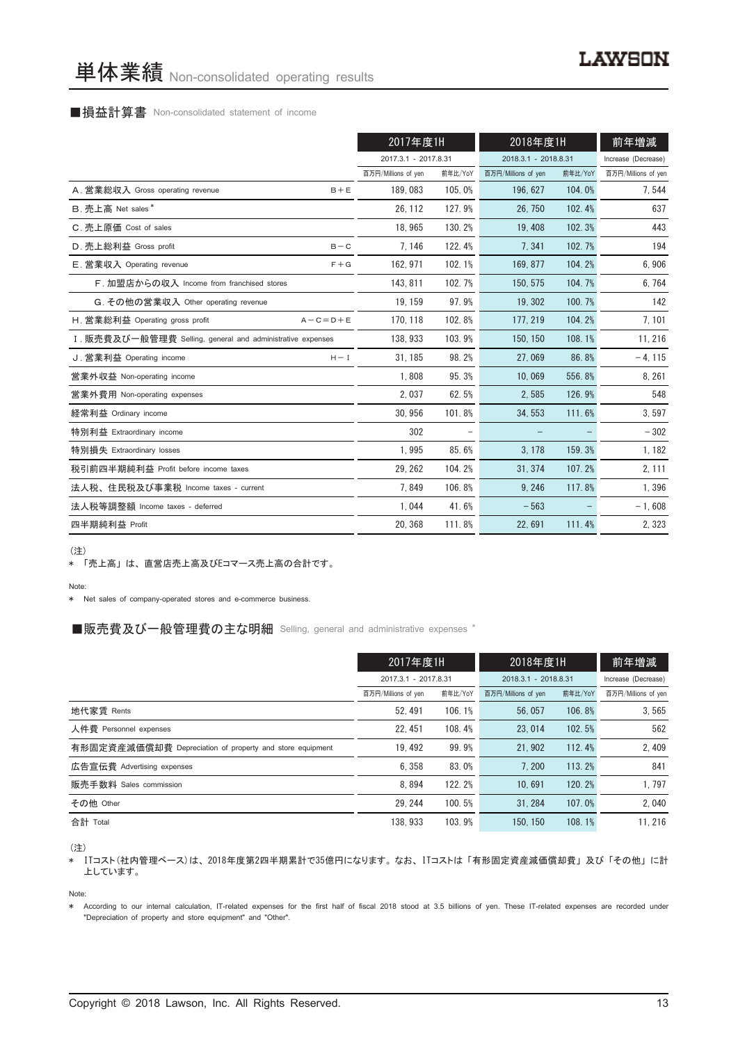#### ■損益計算書 Non-consolidated statement of income

|                                                            | 2017年度1H             |         | 2018年度1H             | 前年増減    |                     |
|------------------------------------------------------------|----------------------|---------|----------------------|---------|---------------------|
|                                                            | 2017.3.1 - 2017.8.31 |         | 2018.3.1 - 2018.8.31 |         | Increase (Decrease) |
|                                                            | 百万円/Millions of yen  | 前年比/YoY | 百万円/Millions of yen  | 前年比/YoY | 百万円/Millions of yen |
| A. 営業総収入 Gross operating revenue<br>$B + E$                | 189,083              | 105.0%  | 196, 627             | 104.0%  | 7,544               |
| B. 売上高 Net sales*                                          | 26, 112              | 127.9%  | 26, 750              | 102.4%  | 637                 |
| C. 売上原価 Cost of sales                                      | 18.965               | 130.2%  | 19.408               | 102.3%  | 443                 |
| D. 売上総利益 Gross profit<br>$B - C$                           | 7, 146               | 122.4%  | 7.341                | 102.7%  | 194                 |
| E. 営業収入 Operating revenue<br>$F + G$                       | 162.971              | 102.1%  | 169.877              | 104.2%  | 6,906               |
| F. 加盟店からの収入 Income from franchised stores                  | 143.811              | 102.7%  | 150.575              | 104.7%  | 6,764               |
| G. その他の営業収入 Other operating revenue                        | 19, 159              | 97.9%   | 19, 302              | 100.7%  | 142                 |
| H. 営業総利益 Operating gross profit<br>$A - C = D + E$         | 170, 118             | 102.8%  | 177, 219             | 104.2%  | 7,101               |
| I. 販売費及び一般管理費 Selling, general and administrative expenses | 138, 933             | 103.9%  | 150, 150             | 108.1%  | 11, 216             |
| J. 営業利益 Operating income<br>$H - I$                        | 31, 185              | 98.2%   | 27,069               | 86.8%   | $-4, 115$           |
| 営業外収益 Non-operating income                                 | 1,808                | 95.3%   | 10,069               | 556.8%  | 8, 261              |
| 営業外費用 Non-operating expenses                               | 2,037                | 62.5%   | 2.585                | 126.9%  | 548                 |
| 経常利益 Ordinary income                                       | 30.956               | 101.8%  | 34.553               | 111.6%  | 3,597               |
| 特別利益 Extraordinary income                                  | 302                  |         |                      |         | $-302$              |
| 特別損失 Extraordinary losses                                  | 1,995                | 85.6%   | 3, 178               | 159.3%  | 1, 182              |
| 税引前四半期純利益 Profit before income taxes                       | 29, 262              | 104.2%  | 31.374               | 107.2%  | 2, 111              |
| 法人税、住民税及び事業税 Income taxes - current                        | 7.849                | 106.8%  | 9, 246               | 117.8%  | 1,396               |
| 法人税等調整額 Income taxes - deferred                            | 1,044                | 41.6%   | $-563$               |         | $-1,608$            |
| 四半期純利益 Profit                                              | 20, 368              | 111.8%  | 22,691               | 111.4%  | 2,323               |

(注)

\* 「売上高」は、直営店売上高及びEコマース売上高の合計です。

#### Note:

\* Net sales of company-operated stores and e-commerce business.

### ■販売費及び一般管理費の主な明細 Selling, general and administrative expenses \*

|                                                          | 2017年度1H             |         | 2018年度1H             |                     | 前年増減                |  |
|----------------------------------------------------------|----------------------|---------|----------------------|---------------------|---------------------|--|
|                                                          | 2017.3.1 - 2017.8.31 |         | 2018.3.1 - 2018.8.31 | Increase (Decrease) |                     |  |
|                                                          | 百万円/Millions of yen  | 前年比/YoY | 百万円/Millions of yen  | 前年比/YoY             | 百万円/Millions of yen |  |
| 地代家賃 Rents                                               | 52.491               | 106.1%  | 56, 057              | 106.8%              | 3.565               |  |
| 人件費 Personnel expenses                                   | 22.451               | 108.4%  | 23.014               | 102.5%              | 562                 |  |
| 有形固定資産減価償却費 Depreciation of property and store equipment | 19.492               | 99.9%   | 21.902               | 112.4%              | 2,409               |  |
| 広告宣伝費 Advertising expenses                               | 6.358                | 83.0%   | 7.200                | 113.2%              | 841                 |  |
| 販売手数料 Sales commission                                   | 8.894                | 122.2%  | 10.691               | 120.2%              | 1,797               |  |
| その他 Other                                                | 29.244               | 100.5%  | 31.284               | 107.0%              | 2.040               |  |
| 合計 Total                                                 | 138.933              | 103.9%  | 150, 150             | 108.1%              | 11.216              |  |

(注)

。\_\_\_<br>\* ITコスト(社内管理ベース)は、2018年度第2四半期累計で35億円になります。なお、ITコストは「有形固定資産減価償却費」及び「その他」に計 上しています。

Note:

\* According to our internal calculation, IT-related expenses for the first half of fiscal 2018 stood at 3.5 billions of yen. These IT-related expenses are recorded under "Depreciation of property and store equipment" and "Other".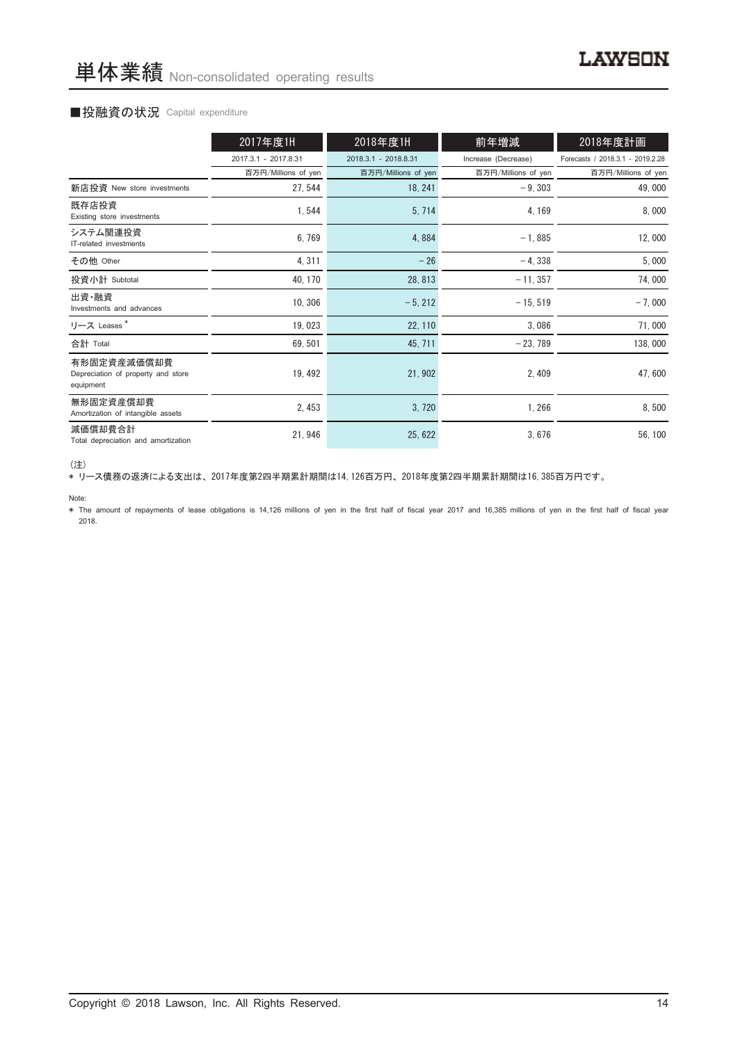# ■投融資の状況 Capital expenditure

|                                                                | 2017年度1H             | 2018年度1H             | 前年増減                | 2018年度計画                         |
|----------------------------------------------------------------|----------------------|----------------------|---------------------|----------------------------------|
|                                                                | 2017.3.1 - 2017.8.31 | 2018.3.1 - 2018.8.31 | Increase (Decrease) | Forecasts / 2018.3.1 - 2019.2.28 |
|                                                                | 百万円/Millions of yen  | 百万円/Millions of yen  | 百万円/Millions of yen | 百万円/Millions of yen              |
| 新店投資 New store investments                                     | 27, 544              | 18, 241              | $-9.303$            | 49,000                           |
| 既存店投資<br>Existing store investments                            | 1,544                | 5, 714               | 4, 169              | 8,000                            |
| システム関連投資<br>IT-related investments                             | 6,769                | 4,884                | $-1,885$            | 12,000                           |
| その他 Other                                                      | 4,311                | $-26$                | $-4,338$            | 5,000                            |
| 投資小計 Subtotal                                                  | 40, 170              | 28, 813              | $-11, 357$          | 74,000                           |
| 出資·融資<br>Investments and advances                              | 10, 306              | $-5, 212$            | $-15, 519$          | $-7,000$                         |
| リース Leases <sup>*</sup>                                        | 19,023               | 22, 110              | 3,086               | 71,000                           |
| 合計 Total                                                       | 69, 501              | 45, 711              | $-23,789$           | 138,000                          |
| 有形固定資産減価償却費<br>Depreciation of property and store<br>equipment | 19, 492              | 21, 902              | 2, 409              | 47,600                           |
| 無形固定資産償却費<br>Amortization of intangible assets                 | 2, 453               | 3,720                | 1,266               | 8,500                            |
| 減価償却費合計<br>Total depreciation and amortization                 | 21, 946              | 25, 622              | 3,676               | 56, 100                          |

<sup>(</sup>注)

\* リース債務の返済による支出は、2017年度第2四半期累計期間は14,126百万円、2018年度第2四半期累計期間は16,385百万円です。

Note:

\* The amount of repayments of lease obligations is 14,126 millions of yen in the first half of fiscal year 2017 and 16,385 millions of yen in the first half of fiscal year 2018.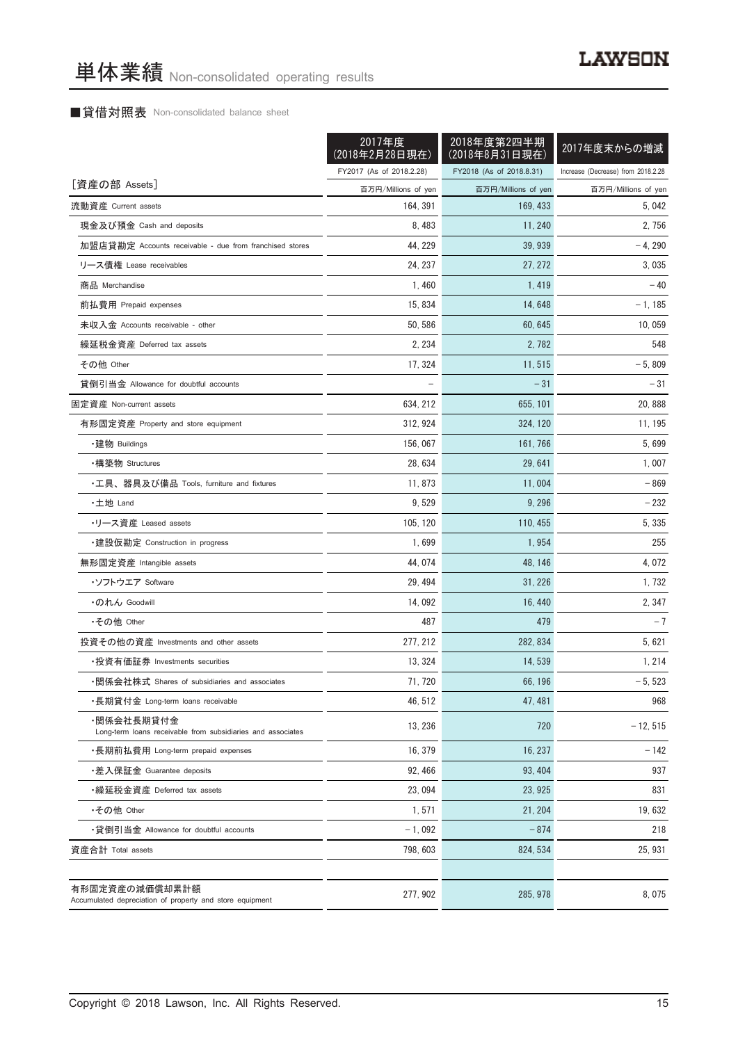# ■貸借対照表 Non-consolidated balance sheet

|                                                                           | 2017年度<br>(2018年2月28日現在) | 2018年度第2四半期<br>(2018年8月31日現在) | 2017年度末からの増減                       |
|---------------------------------------------------------------------------|--------------------------|-------------------------------|------------------------------------|
|                                                                           | FY2017 (As of 2018.2.28) | FY2018 (As of 2018.8.31)      | Increase (Decrease) from 2018.2.28 |
| [資産の部 Assets]                                                             | 百万円/Millions of yen      | 百万円/Millions of yen           | 百万円/Millions of yen                |
| 流動資産 Current assets                                                       | 164, 391                 | 169, 433                      | 5.042                              |
| 現金及び預金 Cash and deposits                                                  | 8,483                    | 11, 240                       | 2,756                              |
| 加盟店貸勘定 Accounts receivable - due from franchised stores                   | 44, 229                  | 39, 939                       | $-4,290$                           |
| リース債権 Lease receivables                                                   | 24, 237                  | 27, 272                       | 3,035                              |
| 商品 Merchandise                                                            | 1,460                    | 1,419                         | $-40$                              |
| 前払費用 Prepaid expenses                                                     | 15, 834                  | 14, 648                       | $-1, 185$                          |
| 未収入金 Accounts receivable - other                                          | 50, 586                  | 60, 645                       | 10,059                             |
| 繰延税金資産 Deferred tax assets                                                | 2, 234                   | 2,782                         | 548                                |
| その他 Other                                                                 | 17, 324                  | 11, 515                       | $-5,809$                           |
| 貸倒引当金 Allowance for doubtful accounts                                     |                          | $-31$                         | - 31                               |
| 固定資産 Non-current assets                                                   | 634, 212                 | 655, 101                      | 20,888                             |
| 有形固定資産 Property and store equipment                                       | 312, 924                 | 324, 120                      | 11, 195                            |
| ・建物 Buildings                                                             | 156,067                  | 161, 766                      | 5,699                              |
| ・構築物 Structures                                                           | 28, 634                  | 29, 641                       | 1,007                              |
| ・工具、器具及び備品 Tools, furniture and fixtures                                  | 11, 873                  | 11,004                        | $-869$                             |
| ・土地 Land                                                                  | 9,529                    | 9, 296                        | - 232                              |
| ・リース資産 Leased assets                                                      | 105, 120                 | 110, 455                      | 5,335                              |
| ・建設仮勘定 Construction in progress                                           | 1,699                    | 1,954                         | 255                                |
| 無形固定資産 Intangible assets                                                  | 44,074                   | 48, 146                       | 4,072                              |
| ・ソフトウエア Soffware                                                          | 29, 494                  | 31, 226                       | 1,732                              |
| ・のれん Goodwill                                                             | 14,092                   | 16, 440                       | 2, 347                             |
| •その他 Other                                                                | 487                      | 479                           | $-7$                               |
| 投資その他の資産 Investments and other assets                                     | 277, 212                 | 282, 834                      | 5, 621                             |
| ・投資有価証券 Investments securities                                            | 13, 324                  | 14, 539                       | 1, 214                             |
| ・関係会社株式 Shares of subsidiaries and associates                             | 71, 720                  | 66.196                        | $-5,523$                           |
| ・長期貸付金 Long-term loans receivable                                         | 46, 512                  | 47, 481                       | 968                                |
| ・関係会社長期貸付金<br>Long-term loans receivable from subsidiaries and associates | 13, 236                  | 720                           | $-12, 515$                         |
| ・長期前払費用 Long-term prepaid expenses                                        | 16, 379                  | 16, 237                       | $-142$                             |
| ・差入保証金 Guarantee deposits                                                 | 92, 466                  | 93, 404                       | 937                                |
| ・繰延税金資産 Deferred tax assets                                               | 23.094                   | 23, 925                       | 831                                |
| •その他 Other                                                                | 1,571                    | 21, 204                       | 19,632                             |
| •貸倒引当金 Allowance for doubtful accounts                                    | $-1,092$                 | $-874$                        | 218                                |
| 資産合計 Total assets                                                         | 798, 603                 | 824, 534                      | 25, 931                            |
| 有形固定資産の減価償却累計額                                                            | 277, 902                 | 285, 978                      | 8,075                              |
| Accumulated depreciation of property and store equipment                  |                          |                               |                                    |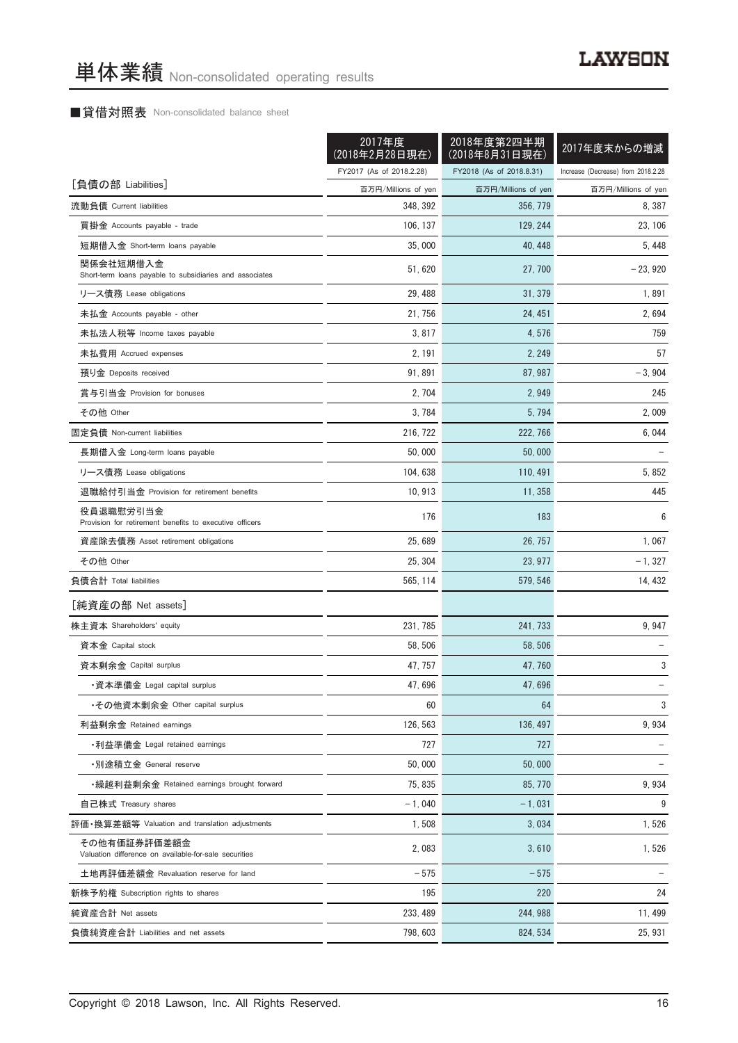# ■貸借対照表 Non-consolidated balance sheet

|                                                                      | 2017年度<br>(2018年2月28日現在) | 2018年度第2四半期<br>(2018年8月31日現在) | 2017年度末からの増減                       |
|----------------------------------------------------------------------|--------------------------|-------------------------------|------------------------------------|
|                                                                      | FY2017 (As of 2018.2.28) | FY2018 (As of 2018.8.31)      | Increase (Decrease) from 2018.2.28 |
| [負債の部 Liabilities]                                                   | 百万円/Millions of yen      | 百万円/Millions of yen           | 百万円/Millions of yen                |
| 流動負債 Current liabilities                                             | 348, 392                 | 356, 779                      | 8, 387                             |
| 買掛金 Accounts payable - trade                                         | 106, 137                 | 129, 244                      | 23, 106                            |
| 短期借入金 Short-term loans payable                                       | 35,000                   | 40, 448                       | 5, 448                             |
| 関係会社短期借入金<br>Short-term loans payable to subsidiaries and associates | 51, 620                  | 27, 700                       | $-23,920$                          |
| リース債務 Lease obligations                                              | 29, 488                  | 31, 379                       | 1,891                              |
| 未払金 Accounts payable - other                                         | 21, 756                  | 24, 451                       | 2,694                              |
| 未払法人税等 Income taxes payable                                          | 3,817                    | 4,576                         | 759                                |
| 未払費用 Accrued expenses                                                | 2, 191                   | 2, 249                        | 57                                 |
| 預り金 Deposits received                                                | 91,891                   | 87, 987                       | $-3,904$                           |
| 賞与引当金 Provision for bonuses                                          | 2, 704                   | 2,949                         | 245                                |
| その他 Other                                                            | 3, 784                   | 5,794                         | 2,009                              |
| 固定負債 Non-current liabilities                                         | 216, 722                 | 222, 766                      | 6, 044                             |
| 長期借入金 Long-term loans payable                                        | 50,000                   | 50,000                        |                                    |
| リース債務 Lease obligations                                              | 104, 638                 | 110, 491                      | 5,852                              |
| 退職給付引当金 Provision for retirement benefits                            | 10, 913                  | 11, 358                       | 445                                |
| 役員退職慰労引当金<br>Provision for retirement benefits to executive officers | 176                      | 183                           | 6                                  |
| 資産除去債務 Asset retirement obligations                                  | 25,689                   | 26, 757                       | 1,067                              |
| その他 Other                                                            | 25, 304                  | 23, 977                       | $-1, 327$                          |
| 負債合計 Total liabilities                                               | 565, 114                 | 579, 546                      | 14, 432                            |
| [純資産の部 Net assets]                                                   |                          |                               |                                    |
| 株主資本 Shareholders' equity                                            | 231, 785                 | 241, 733                      | 9,947                              |
| 資本金 Capital stock                                                    | 58, 506                  | 58, 506                       |                                    |
| 資本剰余金 Capital surplus                                                | 47, 757                  | 47, 760                       | 3                                  |
| ・資本準備金 Legal capital surplus                                         | 47,696                   | 47,696                        |                                    |
| ・その他資本剰余金 Other capital surplus                                      | 60                       | 64                            | 3                                  |
| 利益剰余金 Retained earnings                                              | 126, 563                 | 136, 497                      | 9,934                              |
| ・利益準備金 Legal retained earnings                                       | 727                      | 727                           |                                    |
| •別途積立金 General reserve                                               | 50,000                   | 50.000                        |                                    |
| • 繰越利益剰余金 Retained earnings brought forward                          | 75.835                   | 85, 770                       | 9,934                              |
| 自己株式 Treasury shares                                                 | $-1,040$                 | $-1,031$                      | 9                                  |
| 評価·換算差額等 Valuation and translation adjustments                       | 1,508                    | 3.034                         | 1,526                              |
| その他有価証券評価差額金                                                         |                          |                               |                                    |
| Valuation difference on available-for-sale securities                | 2,083                    | 3,610                         | 1,526                              |
| 土地再評価差額金 Revaluation reserve for land                                | $-575$                   | $-575$                        |                                    |
| 新株予約権 Subscription rights to shares                                  | 195                      | 220                           | 24                                 |
| 純資産合計 Net assets                                                     | 233, 489                 | 244, 988                      | 11, 499                            |
| 負債純資産合計 Liabilities and net assets                                   | 798, 603                 | 824, 534                      | 25, 931                            |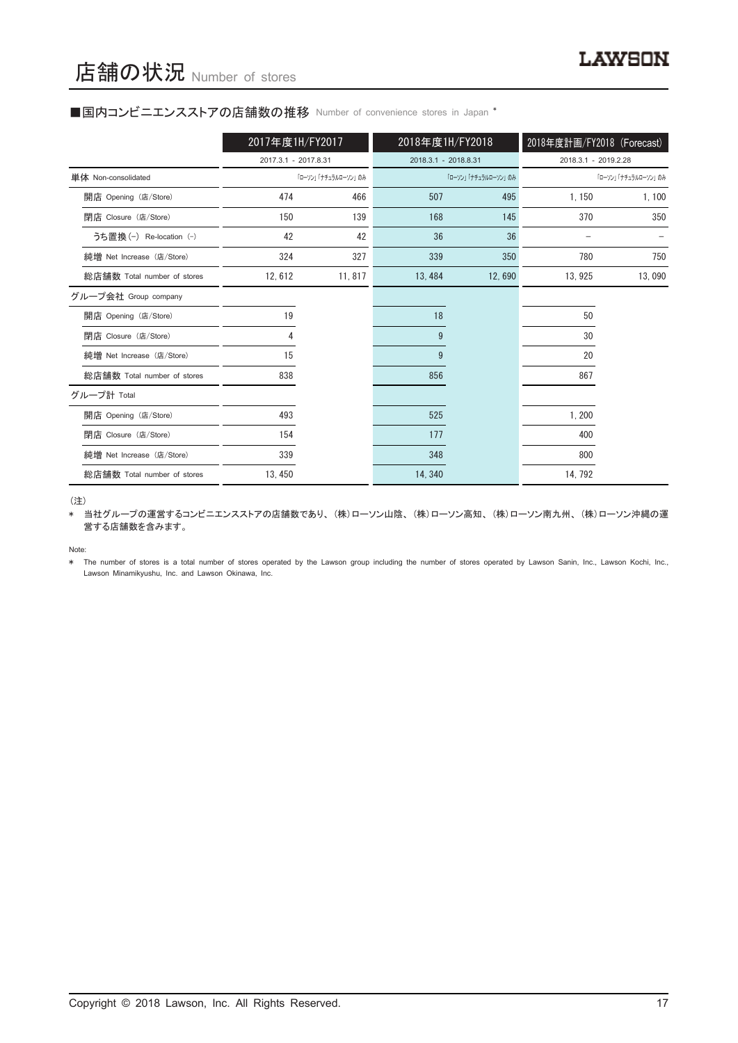#### ■国内コンビニエンスストアの店舗数の推移 Number of convenience stores in Japan \*

|                             | 2017年度1H/FY2017      |                     | 2018年度1H/FY2018      |                     | 2018年度計画/FY2018 (Forecast) |                     |
|-----------------------------|----------------------|---------------------|----------------------|---------------------|----------------------------|---------------------|
|                             | 2017.3.1 - 2017.8.31 |                     | 2018.3.1 - 2018.8.31 |                     | 2018.3.1 - 2019.2.28       |                     |
| 単体 Non-consolidated         |                      | 「ローソン」「ナチュラルローソン」のみ |                      | 「ローソン」「ナチュラルローソン」のみ |                            | 「ローソン」「ナチュラルローソン」のみ |
| 開店 Opening (店/Store)        | 474                  | 466                 | 507                  | 495                 | 1,150                      | 1,100               |
| 閉店 Closure (店/Store)        | 150                  | 139                 | 168                  | 145                 | 370                        | 350                 |
| うち置換 (-) Re-location (-)    | 42                   | 42                  | 36                   | 36                  |                            |                     |
| 純増 Net Increase (店/Store)   | 324                  | 327                 | 339                  | 350                 | 780                        | 750                 |
| 総店舗数 Total number of stores | 12,612               | 11,817              | 13, 484              | 12,690              | 13, 925                    | 13,090              |
| グループ会社 Group company        |                      |                     |                      |                     |                            |                     |
| 開店 Opening (店/Store)        | 19                   |                     | 18                   |                     | 50                         |                     |
| 閉店 Closure (店/Store)        |                      |                     | 9                    |                     | 30                         |                     |
| 純増 Net Increase (店/Store)   | 15                   |                     | 9                    |                     | 20                         |                     |
| 総店舗数 Total number of stores | 838                  |                     | 856                  |                     | 867                        |                     |
| グループ計 Total                 |                      |                     |                      |                     |                            |                     |
| 開店 Opening (店/Store)        | 493                  |                     | 525                  |                     | 1,200                      |                     |
| 閉店 Closure (店/Store)        | 154                  |                     | 177                  |                     | 400                        |                     |
| 純増 Net Increase (店/Store)   | 339                  |                     | 348                  |                     | 800                        |                     |
| 総店舗数 Total number of stores | 13, 450              |                     | 14, 340              |                     | 14, 792                    |                     |

(注)

\* 当社グループの運営するコンビニエンスストアの店舗数であり、(株)ローソン山陰、(株)ローソン高知、(株)ローソン南九州、(株)ローソン沖縄の運 営する店舗数を含みます。

Note:

\* The number of stores is a total number of stores operated by the Lawson group including the number of stores operated by Lawson Sanin, Inc., Lawson Kochi, Inc., Lawson Minamikyushu, Inc. and Lawson Okinawa, Inc.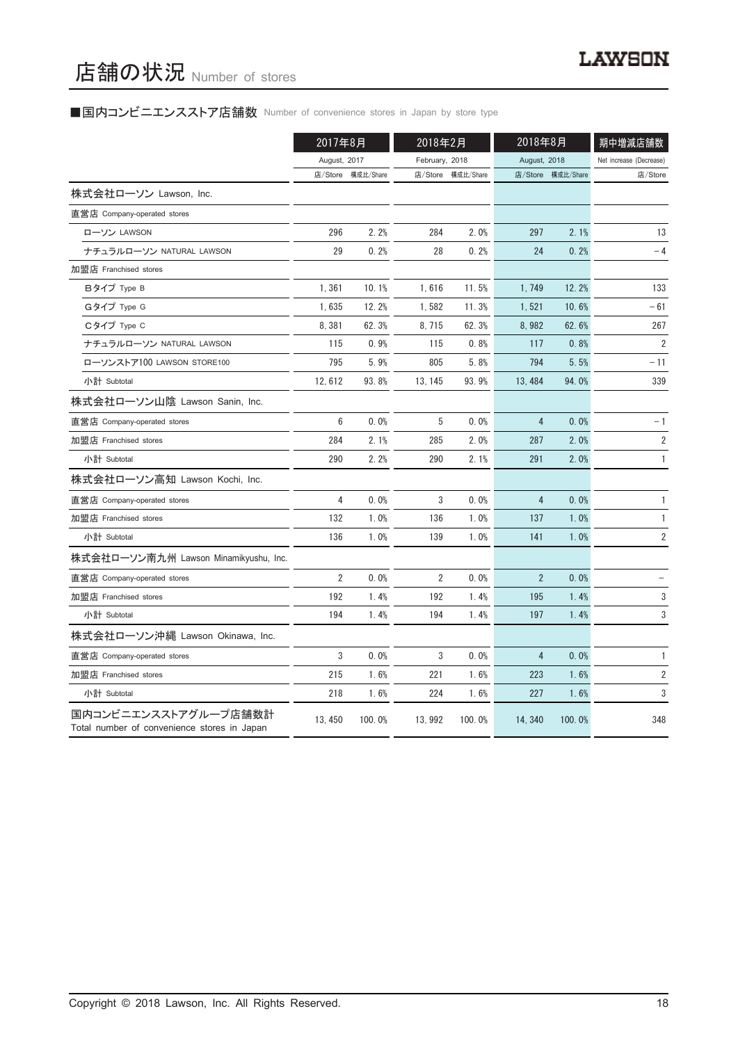# ■国内コンビニエンスストア店舗数 Number of convenience stores in Japan by store type

|                                                                     | 2017年8月        |           | 2018年2月        |                   | 2018年8月        |           | 期中増減店舗数                 |
|---------------------------------------------------------------------|----------------|-----------|----------------|-------------------|----------------|-----------|-------------------------|
|                                                                     | August, 2017   |           | February, 2018 |                   | August, 2018   |           | Net increase (Decrease) |
|                                                                     | 店/Store        | 構成比/Share |                | 店/Store 構成比/Share | 店/Store        | 構成比/Share | 店/Store                 |
| 株式会社ローソン Lawson, Inc.                                               |                |           |                |                   |                |           |                         |
| 直営店 Company-operated stores                                         |                |           |                |                   |                |           |                         |
| ローソン LAWSON                                                         | 296            | 2.2%      | 284            | 2.0%              | 297            | 2.1%      | 13                      |
| ナチュラルローソン NATURAL LAWSON                                            | 29             | 0.2%      | 28             | 0.2%              | 24             | 0.2%      | $-4$                    |
| 加盟店 Franchised stores                                               |                |           |                |                   |                |           |                         |
| Bタイプ Type B                                                         | 1,361          | 10.1%     | 1,616          | 11.5%             | 1, 749         | 12.2%     | 133                     |
| Gタイプ Type G                                                         | 1,635          | 12.2%     | 1,582          | 11.3%             | 1,521          | 10.6%     | - 61                    |
| Cタイプ Type C                                                         | 8,381          | 62.3%     | 8, 715         | 62.3%             | 8,982          | 62.6%     | 267                     |
| ナチュラルローソン NATURAL LAWSON                                            | 115            | 0.9%      | 115            | 0.8%              | 117            | 0.8%      | $\overline{2}$          |
| ローソンストア100 LAWSON STORE100                                          | 795            | 5.9%      | 805            | 5.8%              | 794            | 5.5%      | - 11                    |
| 小計 Subtotal                                                         | 12, 612        | 93.8%     | 13, 145        | 93.9%             | 13, 484        | 94.0%     | 339                     |
| 株式会社ローソン山陰 Lawson Sanin, Inc.                                       |                |           |                |                   |                |           |                         |
| 直営店 Company-operated stores                                         | 6              | 0.0%      | 5              | 0.0%              | 4              | 0.0%      | $-1$                    |
| 加盟店 Franchised stores                                               | 284            | 2.1%      | 285            | 2.0%              | 287            | 2.0%      | $\sqrt{2}$              |
| 小計 Subtotal                                                         | 290            | 2.2%      | 290            | 2.1%              | 291            | 2.0%      | 1                       |
| 株式会社ローソン高知 Lawson Kochi, Inc.                                       |                |           |                |                   |                |           |                         |
| 直営店 Company-operated stores                                         | 4              | 0.0%      | 3              | 0.0%              | 4              | 0.0%      | $\mathbf{1}$            |
| 加盟店 Franchised stores                                               | 132            | 1.0%      | 136            | 1.0%              | 137            | 1.0%      | 1                       |
| 小計 Subtotal                                                         | 136            | 1.0%      | 139            | 1.0%              | 141            | 1.0%      | 2                       |
| 株式会社ローソン南九州 Lawson Minamikyushu, Inc.                               |                |           |                |                   |                |           |                         |
| 直営店 Company-operated stores                                         | $\overline{2}$ | 0.0%      | $\overline{2}$ | 0.0%              | $\overline{2}$ | 0.0%      |                         |
| 加盟店 Franchised stores                                               | 192            | 1.4%      | 192            | 1.4%              | 195            | 1.4%      | 3                       |
| 小計 Subtotal                                                         | 194            | 1.4%      | 194            | 1.4%              | 197            | 1.4%      | 3                       |
| 株式会社ローソン沖縄 Lawson Okinawa, Inc.                                     |                |           |                |                   |                |           |                         |
| 直営店 Company-operated stores                                         | 3              | 0.0%      | 3              | 0.0%              | 4              | 0.0%      | 1                       |
| 加盟店 Franchised stores                                               | 215            | 1.6%      | 221            | 1.6%              | 223            | 1.6%      | $\overline{\mathbf{c}}$ |
| 小計 Subtotal                                                         | 218            | 1.6%      | 224            | 1.6%              | 227            | 1.6%      | 3                       |
| 国内コンビニエンスストアグループ店舗数計<br>Total number of convenience stores in Japan | 13, 450        | 100.0%    | 13, 992        | 100.0%            | 14, 340        | 100.0%    | 348                     |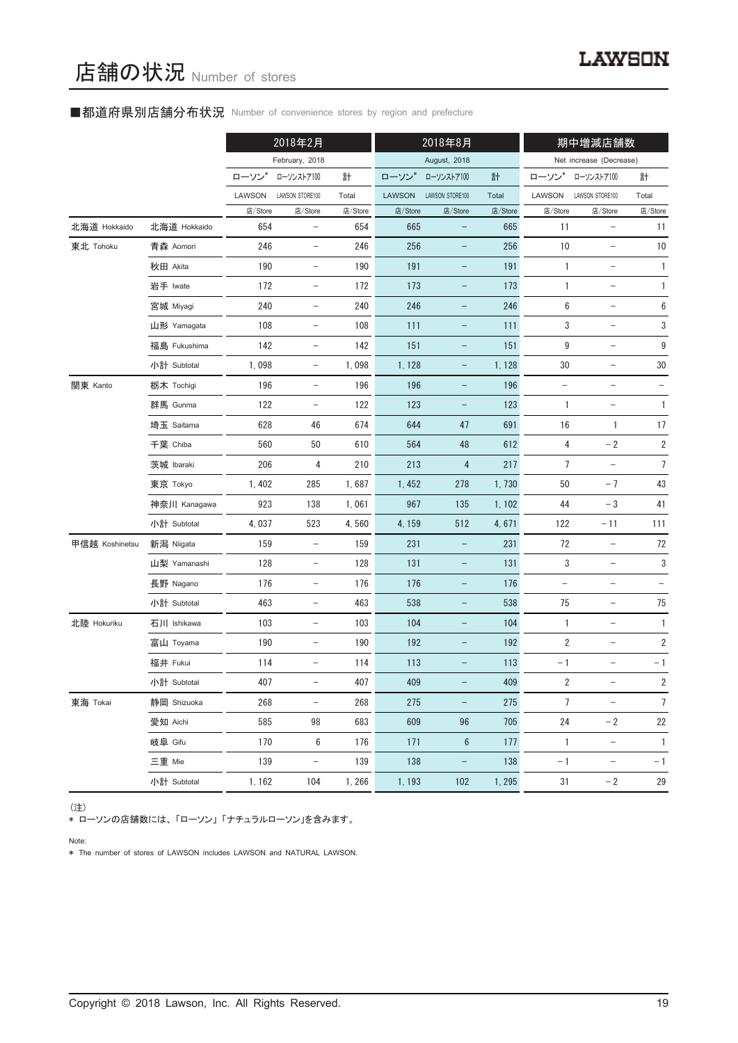# ■都道府県別店舗分布状況 Number of convenience stores by region and prefecture

|                |              |         | 2018年2月                  |         | 2018年8月<br>期中増減店舗数 |                          |         |                          |                          |                  |
|----------------|--------------|---------|--------------------------|---------|--------------------|--------------------------|---------|--------------------------|--------------------------|------------------|
|                |              |         | February, 2018           |         |                    | August, 2018             |         |                          | Net increase (Decrease)  |                  |
|                |              | ローソン    | ローソンストア100               | 計       | ローソン               | ローソンストア100               | 計       | ローソン                     | ローソンストア100               | 計                |
|                |              | LAWSON  | LAWSON STORE100          | Total   | <b>LAWSON</b>      | LAWSON STORE100          | Total   | LAWSON                   | LAWSON STORE100          | Total            |
|                |              | 店/Store | 店/Store                  | 店/Store | 店/Store            | 店/Store                  | 店/Store | 店/Store                  | 店/Store                  | 店/Store          |
| 北海道 Hokkaido   | 北海道 Hokkaido | 654     | $\overline{\phantom{a}}$ | 654     | 665                | $\qquad \qquad -$        | 665     | 11                       | $\qquad \qquad -$        | 11               |
| 東北 Tohoku      | 青森 Aomori    | 246     | $\qquad \qquad -$        | 246     | 256                |                          | 256     | $10$                     | $\qquad \qquad -$        | 10               |
|                | 秋田 Akita     | 190     | $\overline{\phantom{a}}$ | 190     | 191                | $\overline{\phantom{a}}$ | 191     | $\mathbf{1}$             | $\overline{\phantom{a}}$ | 1                |
|                | 岩手 Iwate     | 172     | $\overline{\phantom{a}}$ | 172     | 173                | $\qquad \qquad -$        | 173     | 1                        | $\qquad \qquad -$        | $\mathbf{1}$     |
|                | 宮城 Miyagi    | 240     | $\qquad \qquad -$        | 240     | 246                |                          | 246     | 6                        | $\overline{\phantom{0}}$ | $\boldsymbol{6}$ |
|                | 山形 Yamagata  | 108     | $\overline{\phantom{a}}$ | 108     | 111                | $\overline{\phantom{a}}$ | 111     | 3                        | $\overline{\phantom{a}}$ | 3                |
|                | 福島 Fukushima | 142     | $\qquad \qquad -$        | 142     | 151                | $\overline{\phantom{0}}$ | 151     | 9                        | $\qquad \qquad -$        | $\boldsymbol{9}$ |
|                | 小計 Subtotal  | 1,098   | $\overline{\phantom{a}}$ | 1,098   | 1,128              | -                        | 1, 128  | 30                       | $\qquad \qquad -$        | 30               |
| 関東 Kanto       | 栃木 Tochigi   | 196     | $\overline{\phantom{a}}$ | 196     | 196                | $\overline{\phantom{a}}$ | 196     | $\overline{\phantom{a}}$ | $\overline{\phantom{a}}$ |                  |
|                | 群馬 Gunma     | 122     | $\overline{\phantom{a}}$ | 122     | 123                | $\qquad \qquad -$        | 123     | $\mathbf{1}$             | $\qquad \qquad -$        | $\mathbf{1}$     |
|                | 埼玉 Saitama   | 628     | 46                       | 674     | 644                | 47                       | 691     | 16                       | $\mathbf{1}$             | 17               |
|                | 千葉 Chiba     | 560     | 50                       | 610     | 564                | 48                       | 612     | 4                        | $-2$                     | $\sqrt{2}$       |
|                | 茨城 Ibaraki   | 206     | 4                        | 210     | 213                | $\overline{\mathbf{4}}$  | 217     | $\overline{7}$           |                          | $\overline{7}$   |
|                | 東京 Tokyo     | 1,402   | 285                      | 1,687   | 1,452              | 278                      | 1,730   | 50                       | $-7$                     | 43               |
|                | 神奈川 Kanagawa | 923     | 138                      | 1,061   | 967                | 135                      | 1, 102  | 44                       | $-3$                     | 41               |
|                | 小計 Subtotal  | 4,037   | 523                      | 4,560   | 4, 159             | 512                      | 4,671   | 122                      | $-11$                    | 111              |
| 甲信越 Koshinetsu | 新潟 Niigata   | 159     | $\qquad \qquad -$        | 159     | 231                | -                        | 231     | 72                       | $\qquad \qquad -$        | 72               |
|                | 山梨 Yamanashi | 128     | $\overline{\phantom{a}}$ | 128     | 131                | $\qquad \qquad -$        | 131     | 3                        | $\overline{\phantom{m}}$ | 3                |
|                | 長野 Nagano    | 176     | $\overline{\phantom{a}}$ | 176     | 176                | $\qquad \qquad -$        | 176     |                          | $\qquad \qquad -$        |                  |
|                | 小計 Subtotal  | 463     | $\overline{\phantom{a}}$ | 463     | 538                | -                        | 538     | 75                       | $\qquad \qquad -$        | $75\,$           |
| 北陸 Hokuriku    | 石川 Ishikawa  | 103     | $\overline{\phantom{a}}$ | 103     | 104                | $\overline{\phantom{a}}$ | 104     | $\mathbf{1}$             | $\overline{\phantom{a}}$ | $\mathbf{1}$     |
|                | 富山 Toyama    | 190     | $\qquad \qquad -$        | 190     | 192                | -                        | 192     | $\overline{\mathbf{c}}$  | $\qquad \qquad -$        | $\sqrt{2}$       |
|                | 福井 Fukui     | 114     | -                        | 114     | 113                |                          | 113     | $-1$                     |                          | $-1$             |
|                | 小計 Subtotal  | 407     | $\qquad \qquad -$        | 407     | 409                |                          | 409     | 2                        | -                        | $\overline{2}$   |
| 東海 Tokai       | 静岡 Shizuoka  | 268     | $\overline{\phantom{a}}$ | 268     | 275                | $\qquad \qquad -$        | 275     | $\overline{7}$           | $\qquad \qquad -$        | $\overline{7}$   |
|                | 愛知 Aichi     | 585     | 98                       | 683     | 609                | 96                       | 705     | 24                       | $-2$                     | 22               |
|                | 岐阜 Gifu      | 170     | 6                        | 176     | 171                | $6\phantom{.}6$          | 177     | $\mathbf{1}$             | $\qquad \qquad -$        | $\mathbf{1}$     |
|                | 三重 Mie       | 139     | $\overline{\phantom{a}}$ | 139     | 138                | $\overline{\phantom{0}}$ | 138     | $-1$                     | $\overline{\phantom{a}}$ | $-1$             |
|                | 小計 Subtotal  | 1, 162  | 104                      | 1,266   | 1, 193             | 102                      | 1, 295  | 31                       | $-2$                     | 29               |

(注)

\* ローソンの店舗数には、「ローソン」「ナチュラルローソン」を含みます。

Note:

\* The number of stores of LAWSON includes LAWSON and NATURAL LAWSON.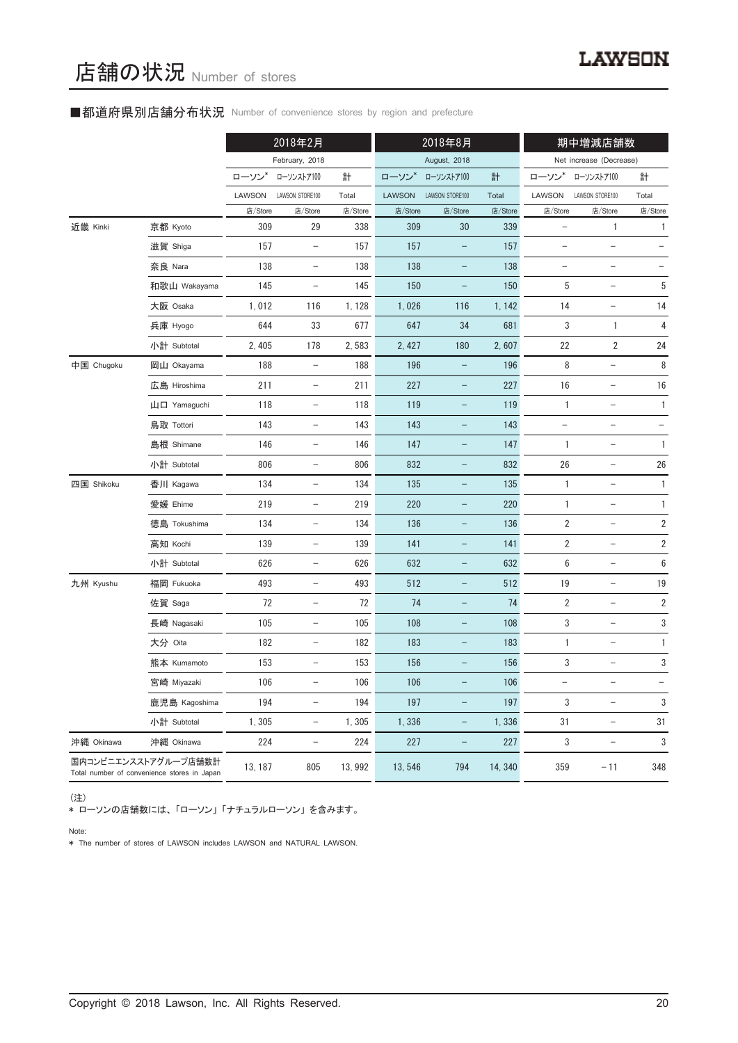# ■都道府県別店舗分布状況 Number of convenience stores by region and prefecture

|            |                                                                     |         | 2018年2月                  |         |               | 2018年8月                  |         |                          | 期中増減店舗数                  |                   |
|------------|---------------------------------------------------------------------|---------|--------------------------|---------|---------------|--------------------------|---------|--------------------------|--------------------------|-------------------|
|            |                                                                     |         | February, 2018           |         |               | August, 2018             |         |                          | Net increase (Decrease)  |                   |
|            |                                                                     | ローソン*   | ローソンストア100               | 計       | ローソン*         | ローソンストア100               | 計       | ローソン*                    | ローソンストア100               | 計                 |
|            |                                                                     | LAWSON  | LAWSON STORE100          | Total   | <b>LAWSON</b> | LAWSON STORE100          | Total   | LAWSON                   | LAWSON STORE100          | Total             |
|            |                                                                     | 店/Store | 店/Store                  | 店/Store | 店/Store       | 店/Store                  | 店/Store | 店/Store                  | 店/Store                  | 店/Store           |
| 近畿 Kinki   | 京都 Kyoto                                                            | 309     | 29                       | 338     | 309           | 30                       | 339     |                          | 1                        | 1                 |
|            | 滋賀 Shiga                                                            | 157     | $\qquad \qquad -$        | 157     | 157           | $\overline{\phantom{0}}$ | 157     | $\qquad \qquad -$        | $\qquad \qquad -$        | $\qquad \qquad -$ |
|            | 奈良 Nara                                                             | 138     | $\overline{\phantom{0}}$ | 138     | 138           |                          | 138     |                          |                          |                   |
|            | 和歌山 Wakayama                                                        | 145     | $\qquad \qquad -$        | 145     | 150           | $\qquad \qquad -$        | 150     | 5                        | $\qquad \qquad -$        | 5                 |
|            | 大阪 Osaka                                                            | 1,012   | 116                      | 1, 128  | 1,026         | 116                      | 1, 142  | 14                       | $\qquad \qquad -$        | 14                |
|            | 兵庫 Hyogo                                                            | 644     | 33                       | 677     | 647           | 34                       | 681     | 3                        | 1                        | 4                 |
|            | 小計 Subtotal                                                         | 2, 405  | 178                      | 2,583   | 2, 427        | 180                      | 2,607   | 22                       | $\overline{2}$           | 24                |
| 中国 Chugoku | 岡山 Okayama                                                          | 188     |                          | 188     | 196           |                          | 196     | 8                        |                          | $\, 8$            |
|            | 広島 Hiroshima                                                        | 211     | $\qquad \qquad -$        | 211     | 227           | -                        | 227     | 16                       | $\overline{\phantom{a}}$ | 16                |
|            | 山口 Yamaguchi                                                        | 118     | $\qquad \qquad -$        | 118     | 119           |                          | 119     | $\mathbf{1}$             | $\qquad \qquad -$        | $\mathbf{1}$      |
|            | 鳥取 Tottori                                                          | 143     | $\overline{\phantom{0}}$ | 143     | 143           |                          | 143     |                          | $\overline{\phantom{0}}$ |                   |
|            | 島根 Shimane                                                          | 146     | $\qquad \qquad -$        | 146     | 147           | $\qquad \qquad -$        | 147     | $\mathbf{1}$             | $\overline{\phantom{m}}$ | 1                 |
|            | 小計 Subtotal                                                         | 806     | $\overline{\phantom{m}}$ | 806     | 832           |                          | 832     | 26                       | $\overline{\phantom{0}}$ | 26                |
| 四国 Shikoku | 香川 Kagawa                                                           | 134     | $\overline{\phantom{0}}$ | 134     | 135           | $\overline{\phantom{0}}$ | 135     | 1                        | $\overline{a}$           | 1                 |
|            | 愛媛 Ehime                                                            | 219     | $\qquad \qquad -$        | 219     | 220           |                          | 220     | $\mathbf{1}$             |                          | 1                 |
|            | 徳島 Tokushima                                                        | 134     | $\overline{\phantom{m}}$ | 134     | 136           | -                        | 136     | $\overline{2}$           | $\qquad \qquad -$        | $\sqrt{2}$        |
|            | 高知 Kochi                                                            | 139     | $\qquad \qquad -$        | 139     | 141           | $\overline{\phantom{0}}$ | 141     | $\overline{2}$           | $\qquad \qquad -$        | $\sqrt{2}$        |
|            | 小計 Subtotal                                                         | 626     | $\overline{\phantom{0}}$ | 626     | 632           |                          | 632     | $\,6$                    | $\overline{\phantom{0}}$ | $\boldsymbol{6}$  |
| 九州 Kyushu  | 福岡 Fukuoka                                                          | 493     | $\qquad \qquad -$        | 493     | 512           | -                        | 512     | 19                       | $\qquad \qquad -$        | 19                |
|            | 佐賀 Saga                                                             | 72      | $\qquad \qquad -$        | 72      | 74            | $\overline{\phantom{0}}$ | 74      | $\sqrt{2}$               | $\qquad \qquad -$        | $\overline{2}$    |
|            | 長崎 Nagasaki                                                         | 105     | $\qquad \qquad -$        | 105     | 108           | -                        | 108     | 3                        |                          | 3                 |
|            | 大分 Oita                                                             | 182     |                          | 182     | 183           |                          | 183     | $\mathbf{1}$             |                          | 1                 |
|            | 熊本 Kumamoto                                                         | 153     | $\qquad \qquad -$        | 153     | 156           | -                        | 156     | 3                        | $\qquad \qquad -$        | 3                 |
|            | 宮崎 Miyazaki                                                         | 106     | $\qquad \qquad -$        | 106     | 106           |                          | 106     | $\overline{\phantom{0}}$ | $\equiv$                 | $\equiv$          |
|            | 鹿児島 Kagoshima                                                       | 194     | $\overline{\phantom{0}}$ | 194     | 197           |                          | 197     | 3                        |                          | 3                 |
|            | 小計 Subtotal                                                         | 1,305   | $\qquad \qquad -$        | 1,305   | 1,336         | $\qquad \qquad -$        | 1,336   | 31                       | $\overline{\phantom{0}}$ | 31                |
| 沖縄 Okinawa | 沖縄 Okinawa                                                          | 224     | $\overline{\phantom{0}}$ | 224     | 227           | $\overline{\phantom{0}}$ | 227     | 3                        | $\overline{\phantom{a}}$ | $\sqrt{3}$        |
|            | 国内コンビニエンスストアグループ店舗数計<br>Total number of convenience stores in Japan | 13, 187 | 805                      | 13, 992 | 13,546        | 794                      | 14, 340 | 359                      | $-11$                    | 348               |

(注)

\* ローソンの店舗数には、「ローソン」「ナチュラルローソン」を含みます。

Note:

\* The number of stores of LAWSON includes LAWSON and NATURAL LAWSON.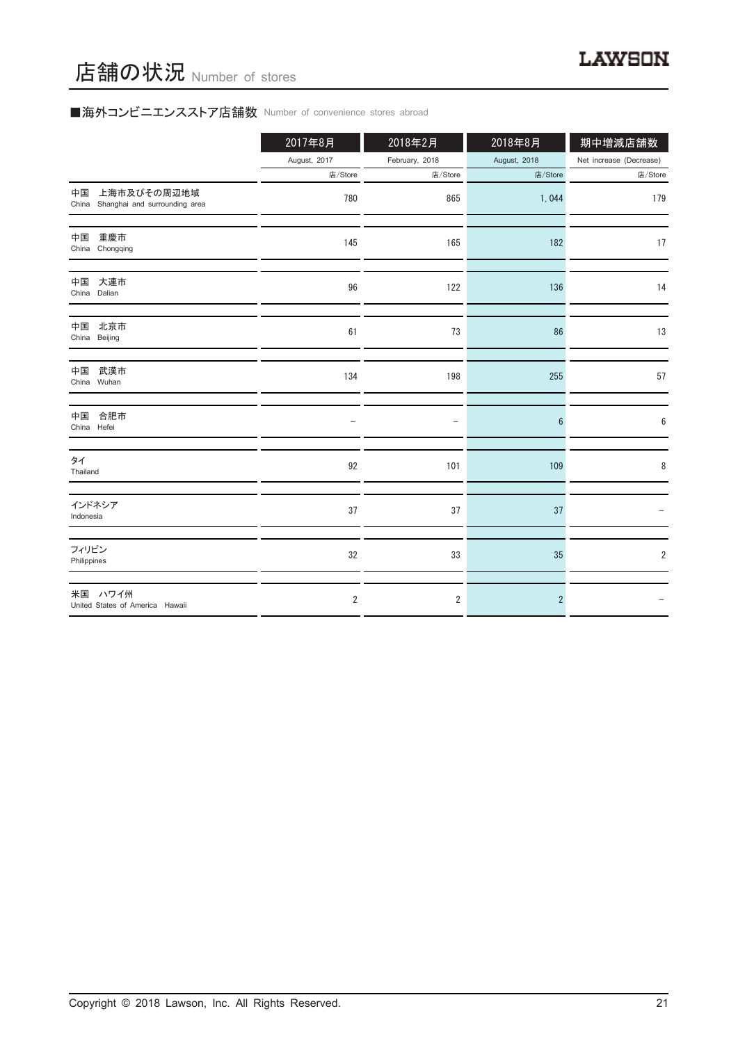# ■海外コンビニエンスストア店舗数 Number of convenience stores abroad

|                                                          | 2017年8月        | 2018年2月        | 2018年8月        | 期中増減店舗数                 |
|----------------------------------------------------------|----------------|----------------|----------------|-------------------------|
|                                                          | August, 2017   | February, 2018 | August, 2018   | Net increase (Decrease) |
|                                                          | 店/Store        | 店/Store        | 店/Store        | 店/Store                 |
| 上海市及びその周辺地域<br>中国<br>China Shanghai and surrounding area | 780            | 865            | 1,044          | 179                     |
| 重慶市<br>中国<br>China Chongqing                             | 145            | 165            | 182            | 17                      |
| 大連市<br>中国<br>China Dalian                                | 96             | 122            | 136            | 14                      |
| 中国<br>北京市<br>China Beijing                               | 61             | 73             | 86             | 13                      |
| 武漢市<br>中国<br>China Wuhan                                 | 134            | 198            | 255            | 57                      |
| 合肥市<br>中国<br>China Hefei                                 |                | ÷              | $6\phantom{1}$ | 6                       |
| タイ<br>Thailand                                           | 92             | 101            | 109            | 8                       |
| インドネシア<br>Indonesia                                      | 37             | 37             | 37             |                         |
| フィリピン<br>Philippines                                     | 32             | 33             | 35             | $\overline{2}$          |
| 米国 ハワイ州<br>United States of America Hawaii               | $\overline{2}$ | 2              | $\overline{2}$ |                         |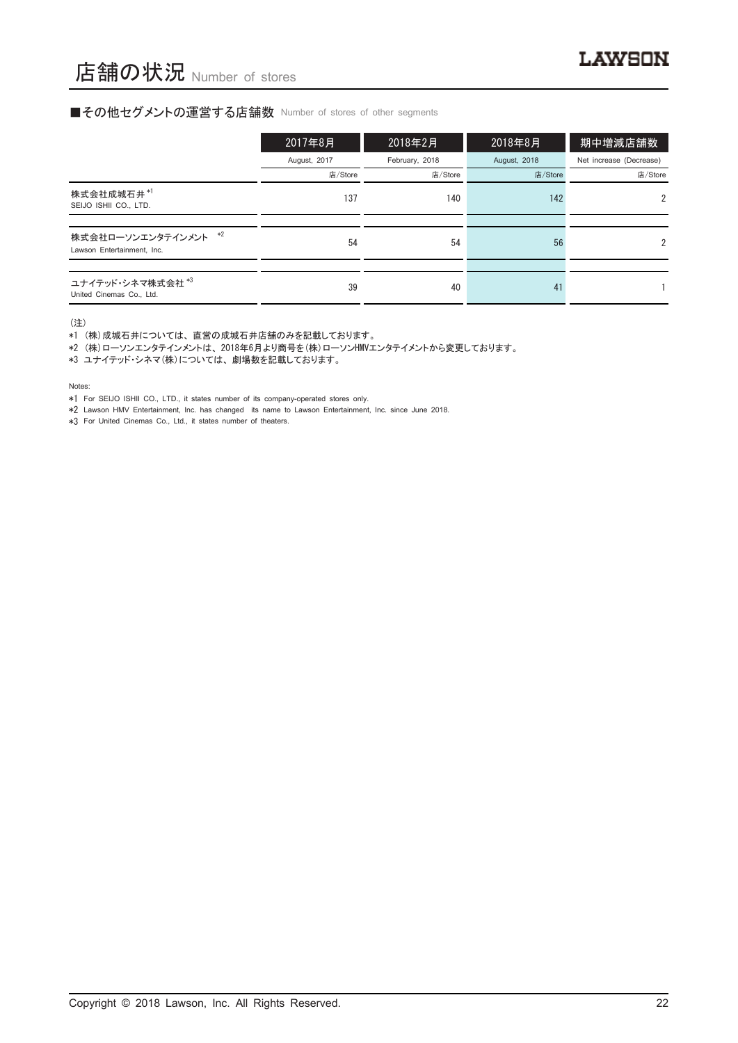# ■その他セグメントの運営する店舗数 Number of stores of other segments

|                                                    | 2017年8月      | 2018年2月        | 2018年8月      | 期中増減店舗数                 |
|----------------------------------------------------|--------------|----------------|--------------|-------------------------|
|                                                    | August, 2017 | February, 2018 | August, 2018 | Net increase (Decrease) |
|                                                    | 店/Store      | 店/Store        | 店/Store      | 店/Store                 |
| 株式会社成城石井*1<br>SEIJO ISHII CO., LTD.                | 137          | 140            | 142          | $\mathfrak{p}$          |
|                                                    |              |                |              |                         |
| 株式会社ローソンエンタテインメント *2<br>Lawson Entertainment, Inc. | 54           | 54             | 56           | $\mathfrak{p}$          |
|                                                    |              |                |              |                         |
| ユナイテッド・シネマ株式会社 *3<br>United Cinemas Co., Ltd.      | 39           | 40             | 41           |                         |

(注)

\*1 (株)成城石井については、直営の成城石井店舗のみを記載しております。

\*2 (株)ローソンエンタテインメントは、2018年6月より商号を(株)ローソンHMVエンタテイメントから変更しております。

\*3 ユナイテッド・シネマ(株)については、劇場数を記載しております。

Notes:

\*1 For SEIJO ISHII CO., LTD., it states number of its company-operated stores only.

\*2 Lawson HMV Entertainment, Inc. has changed its name to Lawson Entertainment, Inc. since June 2018.

\*3 For United Cinemas Co., Ltd., it states number of theaters.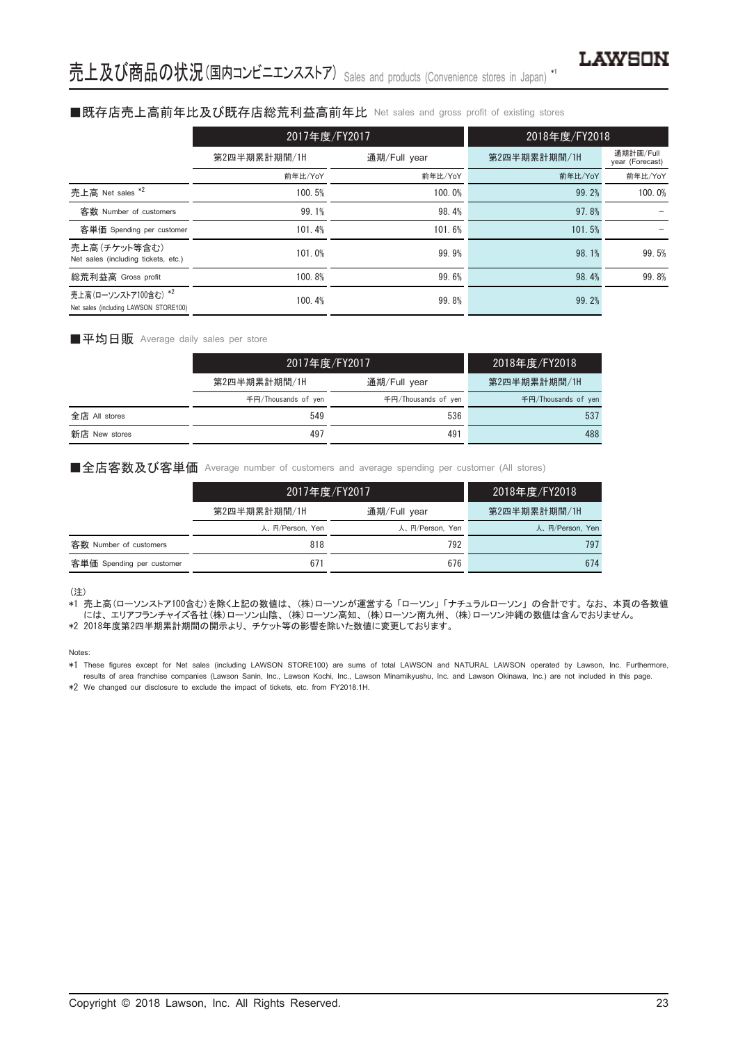### ■既存店売上高前年比及び既存店総荒利益高前年比 Net sales and gross profit of existing stores

|                                                               | 2017年度/FY2017 |              | 2018年度/FY2018 |                              |  |
|---------------------------------------------------------------|---------------|--------------|---------------|------------------------------|--|
|                                                               | 第2四半期累計期間/1H  | 通期/Full year | 第2四半期累計期間/1H  | 通期計画/Full<br>year (Forecast) |  |
|                                                               | 前年比/YoY       | 前年比/YoY      | 前年比/YoY       | 前年比/YoY                      |  |
| 売上高 Net sales *2                                              | 100.5%        | 100.0%       | 99.2%         | 100.0%                       |  |
| 客数 Number of customers                                        | 99.1%         | 98.4%        | 97.8%         |                              |  |
| 客単価 Spending per customer                                     | 101.4%        | 101.6%       | 101.5%        |                              |  |
| 売上高(チケット等含む)<br>Net sales (including tickets, etc.)           | 101.0%        | 99.9%        | 98.1%         | 99.5%                        |  |
| 総荒利益高 Gross profit                                            | 100.8%        | 99.6%        | 98.4%         | 99.8%                        |  |
| 売上高(ローソンストア100含む) *2<br>Net sales (including LAWSON STORE100) | 100.4%        | 99.8%        | 99.2%         |                              |  |

#### ■平均日販 Average daily sales per store

|               |                     | 2017年度/FY2017       |                     |  |
|---------------|---------------------|---------------------|---------------------|--|
|               | 第2四半期累計期間/1H        | 通期/Full year        | 第2四半期累計期間/1H        |  |
|               | 千円/Thousands of ven | 千円/Thousands of yen | 千円/Thousands of yen |  |
| 全店 All stores | 549                 | 536                 | 537                 |  |
| 新店 New stores | 497                 | 491                 | 488                 |  |

#### ■全店客数及び客単価 Average number of customers and average spending per customer (All stores)

|                           | 2017年度/FY2017   |                 | 2018年度/FY2018   |
|---------------------------|-----------------|-----------------|-----------------|
|                           | 第2四半期累計期間/1H    | 通期/Full year    | 第2四半期累計期間/1H    |
|                           | 人、円/Person, Yen | 人、円/Person, Yen | 人、円/Person, Yen |
| 客数 Number of customers    | 818             | 792             | 797             |
| 客単価 Spending per customer | $67^{\circ}$    | 676             | 674             |

(注)

\*1 売上高(ローソンストア100含む)を除く上記の数値は、(株)ローソンが運営する「ローソン」「ナチュラルローソン」の合計です。なお、本頁の各数値 には、エリアフランチャイズ各社(株)ローソン山陰、(株)ローソン高知、(株)ローソン南九州、(株)ローソン沖縄の数値は含んでおりません。 \*2 2018年度第2四半期累計期間の開示より、チケット等の影響を除いた数値に変更しております。

Notes:

\*1 These figures except for Net sales (including LAWSON STORE100) are sums of total LAWSON and NATURAL LAWSON operated by Lawson, Inc. Furthermore, results of area franchise companies (Lawson Sanin, Inc., Lawson Kochi, Inc., Lawson Minamikyushu, Inc. and Lawson Okinawa, Inc.) are not included in this page.

\*2 We changed our disclosure to exclude the impact of tickets, etc. from FY2018.1H.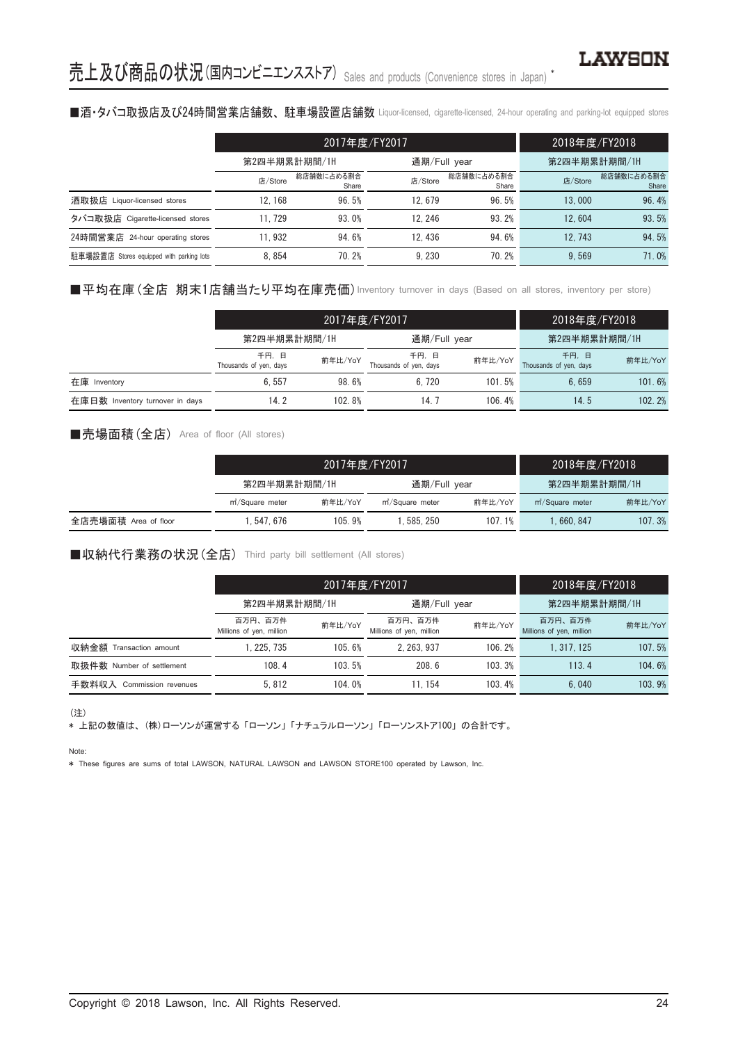# ■酒·タバコ取扱店及び24時間営業店舗数、駐車場設置店舗数 Liquor-licensed, cigarette-licensed, 24-hour operating and parking-lot equipped stores

|                                          |              | 2017年度/FY2017       | 2018年度/FY2018 |                     |              |                     |
|------------------------------------------|--------------|---------------------|---------------|---------------------|--------------|---------------------|
|                                          | 第2四半期累計期間/1H |                     | 通期/Full year  |                     | 第2四半期累計期間/1H |                     |
|                                          | 店/Store      | 総店舗数に占める割合<br>Share | 店/Store       | 総店舗数に占める割合<br>Share | 店/Store      | 総店舗数に占める割合<br>Share |
| 酒取扱店 Liquor-licensed stores              | 12.168       | 96.5%               | 12.679        | 96.5%               | 13,000       | 96.4%               |
| タバコ取扱店 Cigarette-licensed stores         | 11.729       | 93.0%               | 12.246        | 93.2%               | 12.604       | 93.5%               |
| 24時間営業店<br>24-hour operating stores      | 11.932       | 94.6%               | 12.436        | 94.6%               | 12.743       | 94.5%               |
| 駐車場設置店 Stores equipped with parking lots | 8.854        | 70.2%               | 9.230         | 70.2%               | 9.569        | 71.0%               |

■平均在庫(全店 期末1店舗当たり平均在庫売価) Inventory turnover in days (Based on all stores, inventory per store)

|                                 |                                | 2017年度/FY2017 | 2018年度/FY2018                  |         |                                |         |
|---------------------------------|--------------------------------|---------------|--------------------------------|---------|--------------------------------|---------|
|                                 | 第2四半期累計期間/1H                   |               | 通期/Full year                   |         | 第2四半期累計期間/1H                   |         |
|                                 | 千円、日<br>Thousands of yen, days | 前年比/YoY       | 千円、日<br>Thousands of yen, days | 前年比/YoY | 千円、日<br>Thousands of yen, days | 前年比/YoY |
| 在庫 Inventory                    | 6.557                          | 98.6%         | 6.720                          | 101.5%  | 6.659                          | 101.6%  |
| 在庫日数 Inventory turnover in days | 14.2                           | 102.8%        | 14. 7                          | 106.4%  | 14.5                           | 102.2%  |

# ■売場面積(全店) Area of floor (All stores)

|                      | 2017年度/FY2017                |         |                              |         | 2018年度/FY2018                |         |
|----------------------|------------------------------|---------|------------------------------|---------|------------------------------|---------|
|                      | 第2四半期累計期間/1H                 |         | 通期/Full year                 |         | 第2四半期累計期間/1H                 |         |
|                      | m <sup>2</sup> /Square meter | 前年比/YoY | m <sup>2</sup> /Square meter | 前年比/YoY | m <sup>2</sup> /Square meter | 前年比/YoY |
| 全店売場面積 Area of floor | 1.547.676                    | 105.9%  | .585.250                     | 107.1%  | .660.847                     | 107.3%  |

## ■収納代行業務の状況(全店) Third party bill settlement (All stores)

|                              |                                     | 2017年度/FY2017 |                                     |         |                                     | 2018年度/FY2018 |  |
|------------------------------|-------------------------------------|---------------|-------------------------------------|---------|-------------------------------------|---------------|--|
|                              | 第2四半期累計期間/1H                        |               | 通期/Full year                        |         | 第2四半期累計期間/1H                        |               |  |
|                              | 百万円、百万件<br>Millions of yen, million | 前年比/YoY       | 百万円、百万件<br>Millions of yen, million | 前年比/YoY | 百万円、百万件<br>Millions of yen, million | 前年比/YoY       |  |
| 収納金額<br>Transaction amount   | . 225. 735                          | 105.6%        | 2.263.937                           | 106.2%  | 1.317.125                           | 107.5%        |  |
| 取扱件数 Number of settlement    | 108.4                               | 103.5%        | 208.6                               | 103.3%  | 113.4                               | 104.6%        |  |
| 手数料収入<br>Commission revenues | 5.812                               | 104.0%        | 11.154                              | 103.4%  | 6.040                               | 103.9%        |  |

(注)

\* 上記の数値は、(株)ローソンが運営する「ローソン」「ナチュラルローソン」「ローソンストア100」の合計です。

Note:

\* These figures are sums of total LAWSON, NATURAL LAWSON and LAWSON STORE100 operated by Lawson, Inc.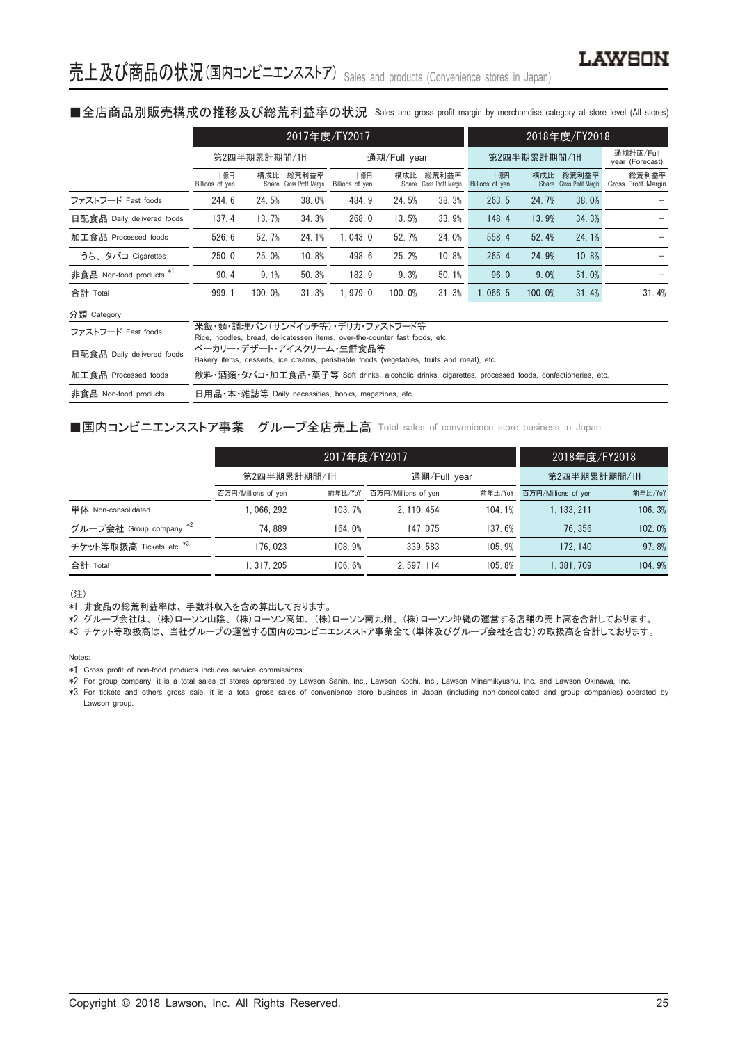#### ■全店商品別販売構成の推移及び総荒利益率の状況 Sales and gross profit margin by merchandise category at store level (All stores)

|                            | 2017年度/FY2017                                                                                                        |        |                                    |                        | 2018年度/FY2018 |                                    |                              |        |                                    |                              |
|----------------------------|----------------------------------------------------------------------------------------------------------------------|--------|------------------------------------|------------------------|---------------|------------------------------------|------------------------------|--------|------------------------------------|------------------------------|
|                            | 第2四半期累計期間/1H                                                                                                         |        | 通期/Full year                       |                        | 第2四半期累計期間/1H  |                                    | 通期計画/Full<br>year (Forecast) |        |                                    |                              |
|                            | 十億円<br>Billions of yen                                                                                               | 構成比    | 総荒利益率<br>Share Gross Profit Margin | 十億円<br>Billions of yen | 構成比           | 総荒利益率<br>Share Gross Profit Margin | 十億円<br>Billions of yen       | 構成比    | 総荒利益率<br>Share Gross Profit Margin | 総荒利益率<br>Gross Profit Margin |
| ファストフード Fast foods         | 244.6                                                                                                                | 24.5%  | 38.0%                              | 484.9                  | 24.5%         | 38.3%                              | 263.5                        | 24.7%  | 38.0%                              |                              |
| 日配食品 Daily delivered foods | 137.4                                                                                                                | 13.7%  | 34.3%                              | 268.0                  | 13.5%         | 33.9%                              | 148.4                        | 13.9%  | 34.3%                              |                              |
| 加工食品 Processed foods       | 526.6                                                                                                                | 52.7%  | 24.1%                              | 1.043.0                | 52.7%         | 24.0%                              | 558.4                        | 52.4%  | 24.1%                              |                              |
| うち、タバコ Cigarettes          | 250.0                                                                                                                | 25.0%  | 10.8%                              | 498.6                  | 25.2%         | 10.8%                              | 265.4                        | 24.9%  | 10.8%                              |                              |
| 非食品 Non-food products *1   | 90.4                                                                                                                 | 9.1%   | 50.3%                              | 182.9                  | 9.3%          | 50.1%                              | 96.0                         | 9.0%   | 51.0%                              |                              |
| 合計 Total                   | 999.1                                                                                                                | 100.0% | 31.3%                              | 1.979.0                | 100.0%        | 31.3%                              | 1.066.5                      | 100.0% | 31.4%                              | 31.4%                        |
| 分類 Category                |                                                                                                                      |        |                                    |                        |               |                                    |                              |        |                                    |                              |
| ファストフード Fast foods         | 米飯・麺・調理パン(サンドイッチ等) デリカ・ファストフード等<br>Rice, noodles, bread, delicatessen items, over-the-counter fast foods, etc.       |        |                                    |                        |               |                                    |                              |        |                                    |                              |
| 日配食品 Daily delivered foods | ベーカリー・デザート・アイスクリーム・生鮮食品等<br>Bakery items, desserts, ice creams, perishable foods (vegetables, fruits and meat), etc. |        |                                    |                        |               |                                    |                              |        |                                    |                              |
| 加工食品 Processed foods       | 飲料・酒類・タバコ・加工食品・菓子等 Soft drinks, alcoholic drinks, cigarettes, processed foods, confectioneries, etc.                 |        |                                    |                        |               |                                    |                              |        |                                    |                              |
| 非食品 Non-food products      | 日用品·本·雑誌等 Daily necessities, books, magazines, etc.                                                                  |        |                                    |                        |               |                                    |                              |        |                                    |                              |

# ■国内コンビニエンスストア事業 グループ全店売上高 Total sales of convenience store business in Japan

|                          |                     | 2017年度/FY2017 | 2018年度/FY2018       |         |                     |         |
|--------------------------|---------------------|---------------|---------------------|---------|---------------------|---------|
|                          | 第2四半期累計期間/1H        |               | 通期/Full year        |         | 第2四半期累計期間/1H        |         |
|                          | 百万円/Millions of yen | 前年比/YoY       | 百万円/Millions of yen | 前年比/YoY | 百万円/Millions of yen | 前年比/YoY |
| 単体 Non-consolidated      | . 066. 292          | 103.7%        | 2.110.454           | 104.1%  | 1.133.211           | 106.3%  |
| グループ会社 Group company *2  | 74.889              | 164.0%        | 147.075             | 137.6%  | 76.356              | 102.0%  |
| チケット等取扱高 Tickets etc. *3 | 176.023             | 108.9%        | 339.583             | 105.9%  | 172.140             | 97.8%   |
| 合計 Total                 | 1.317.205           | 106.6%        | 2.597.114           | 105.8%  | 1.381.709           | 104.9%  |

(注)

\*1 非食品の総荒利益率は、手数料収入を含め算出しております。

\*2 グループ会社は、(株)ローソン山陰、(株)ローソン高知、(株)ローソン南九州、(株)ローソン沖縄の運営する店舗の売上高を合計しております。

\*3 チケット等取扱高は、当社グループの運営する国内のコンビニエンスストア事業全て(単体及びグループ会社を含む)の取扱高を合計しております。

Notes:

\*1 Gross profit of non-food products includes service commissions.

\*2 For group company, it is a total sales of stores oprerated by Lawson Sanin, Inc., Lawson Kochi, Inc., Lawson Minamikyushu, Inc. and Lawson Okinawa, Inc.

\*3 For tickets and others gross sale, it is a total gross sales of convenience store business in Japan (including non-consolidated and group companies) operated by Lawson group.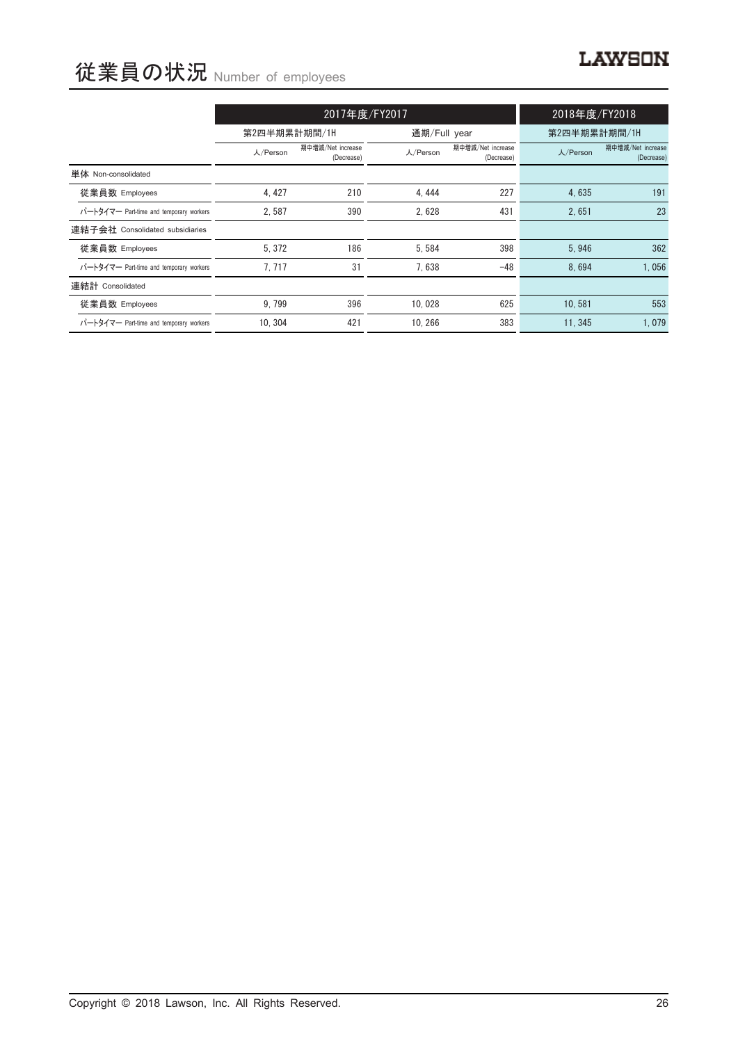# **LAWSON**

# 従業員の状況 Number of employees

|                                         |              | 2017年度/FY2017                   | 2018年度/FY2018 |                                 |              |                                 |
|-----------------------------------------|--------------|---------------------------------|---------------|---------------------------------|--------------|---------------------------------|
|                                         | 第2四半期累計期間/1H |                                 | 通期/Full year  |                                 | 第2四半期累計期間/1H |                                 |
|                                         | 人/Person     | 期中増減/Net increase<br>(Decrease) | 人/Person      | 期中增減/Net increase<br>(Decrease) | 人/Person     | 期中增減/Net increase<br>(Decrease) |
| 単体 Non-consolidated                     |              |                                 |               |                                 |              |                                 |
| 従業員数 Employees                          | 4, 427       | 210                             | 4, 444        | 227                             | 4.635        | 191                             |
| パートタイマー Part-time and temporary workers | 2,587        | 390                             | 2,628         | 431                             | 2,651        | 23                              |
| 連結子会社 Consolidated subsidiaries         |              |                                 |               |                                 |              |                                 |
| 従業員数 Employees                          | 5.372        | 186                             | 5.584         | 398                             | 5.946        | 362                             |
| パートタイマー Part-time and temporary workers | 7.717        | 31                              | 7,638         | $-48$                           | 8.694        | 1,056                           |
| 連結計 Consolidated                        |              |                                 |               |                                 |              |                                 |
| 従業員数 Employees                          | 9.799        | 396                             | 10.028        | 625                             | 10.581       | 553                             |
| パートタイマー Part-time and temporary workers | 10.304       | 421                             | 10.266        | 383                             | 11.345       | 1,079                           |